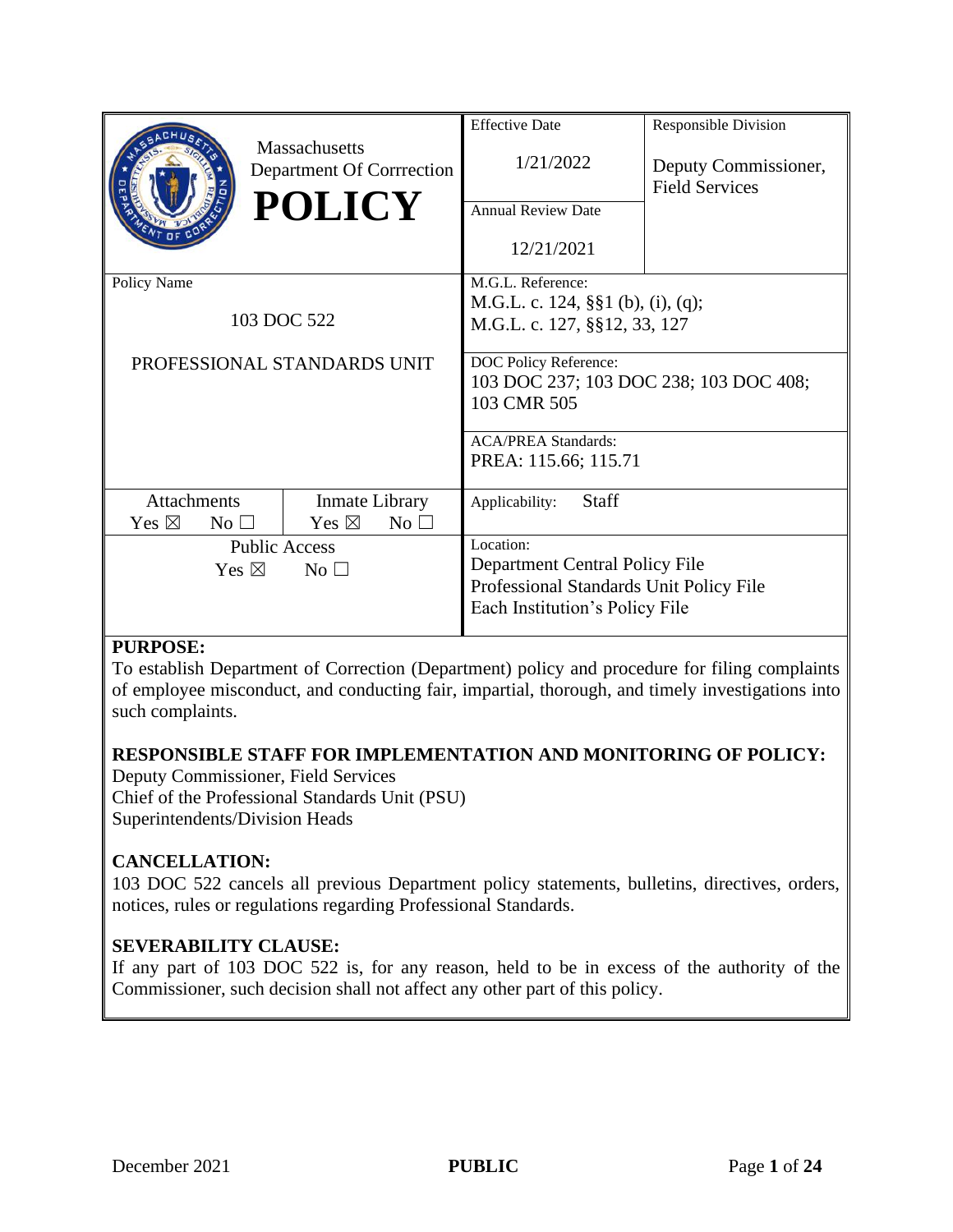|                                    |                                            | <b>Effective Date</b>                                           | <b>Responsible Division</b>                   |
|------------------------------------|--------------------------------------------|-----------------------------------------------------------------|-----------------------------------------------|
|                                    | Massachusetts<br>Department Of Corrrection | 1/21/2022                                                       | Deputy Commissioner,<br><b>Field Services</b> |
|                                    | <b>POLICY</b>                              | <b>Annual Review Date</b>                                       |                                               |
|                                    |                                            | 12/21/2021                                                      |                                               |
| Policy Name                        |                                            | M.G.L. Reference:                                               |                                               |
|                                    |                                            | M.G.L. c. 124, §§1 (b), (i), (q);                               |                                               |
| 103 DOC 522                        |                                            | M.G.L. c. 127, §§12, 33, 127                                    |                                               |
|                                    |                                            |                                                                 |                                               |
|                                    | PROFESSIONAL STANDARDS UNIT                | DOC Policy Reference:<br>103 DOC 237; 103 DOC 238; 103 DOC 408; |                                               |
|                                    |                                            | 103 CMR 505                                                     |                                               |
|                                    |                                            |                                                                 |                                               |
|                                    |                                            | <b>ACA/PREA Standards:</b>                                      |                                               |
|                                    |                                            | PREA: 115.66; 115.71                                            |                                               |
|                                    |                                            |                                                                 |                                               |
| <b>Attachments</b>                 | Inmate Library                             | <b>Staff</b><br>Applicability:                                  |                                               |
| Yes $\boxtimes$<br>$No \square$    | Yes $\boxtimes$<br>No <sub>1</sub>         |                                                                 |                                               |
|                                    | <b>Public Access</b>                       | Location:                                                       |                                               |
| Yes $\boxtimes$<br>No <sub>1</sub> |                                            | Department Central Policy File                                  |                                               |
|                                    |                                            | Professional Standards Unit Policy File                         |                                               |
|                                    |                                            | Each Institution's Policy File                                  |                                               |
|                                    |                                            |                                                                 |                                               |

### **PURPOSE:**

To establish Department of Correction (Department) policy and procedure for filing complaints of employee misconduct, and conducting fair, impartial, thorough, and timely investigations into such complaints.

### **RESPONSIBLE STAFF FOR IMPLEMENTATION AND MONITORING OF POLICY:**

Deputy Commissioner, Field Services Chief of the Professional Standards Unit (PSU) Superintendents/Division Heads

### **CANCELLATION:**

103 DOC 522 cancels all previous Department policy statements, bulletins, directives, orders, notices, rules or regulations regarding Professional Standards.

### **SEVERABILITY CLAUSE:**

If any part of 103 DOC 522 is, for any reason, held to be in excess of the authority of the Commissioner, such decision shall not affect any other part of this policy.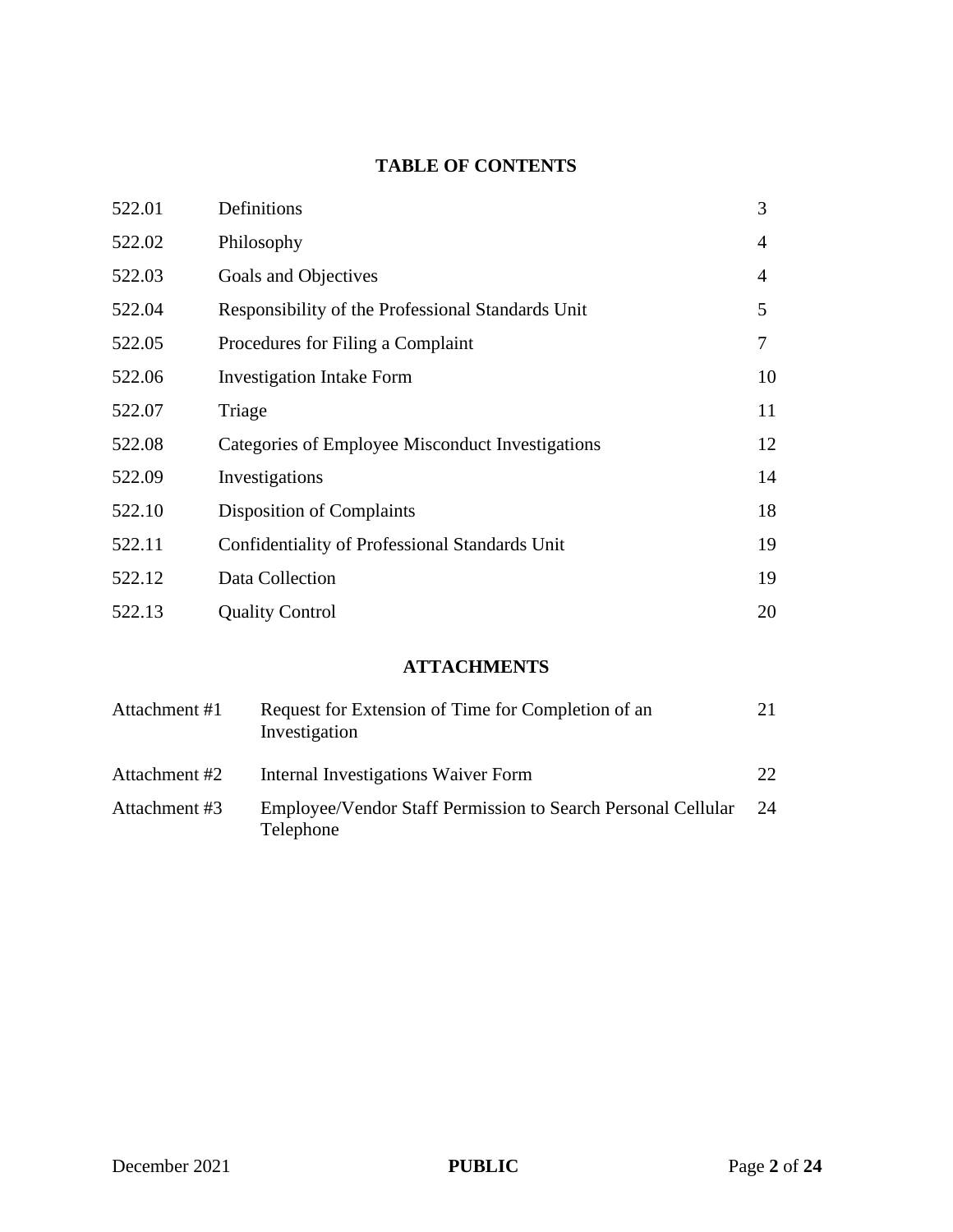# **TABLE OF CONTENTS**

| 522.01 | Definitions                                       | 3  |
|--------|---------------------------------------------------|----|
| 522.02 | Philosophy                                        | 4  |
| 522.03 | Goals and Objectives                              | 4  |
| 522.04 | Responsibility of the Professional Standards Unit | 5  |
| 522.05 | Procedures for Filing a Complaint                 | 7  |
| 522.06 | <b>Investigation Intake Form</b>                  | 10 |
| 522.07 | Triage                                            | 11 |
| 522.08 | Categories of Employee Misconduct Investigations  | 12 |
| 522.09 | Investigations                                    | 14 |
| 522.10 | Disposition of Complaints                         | 18 |
| 522.11 | Confidentiality of Professional Standards Unit    | 19 |
| 522.12 | Data Collection                                   | 19 |
| 522.13 | <b>Quality Control</b>                            | 20 |

# **ATTACHMENTS**

| Attachment #1 | Request for Extension of Time for Completion of an<br>Investigation       | 21              |
|---------------|---------------------------------------------------------------------------|-----------------|
| Attachment #2 | Internal Investigations Waiver Form                                       | 22 <sub>1</sub> |
| Attachment #3 | Employee/Vendor Staff Permission to Search Personal Cellular<br>Telephone | 24              |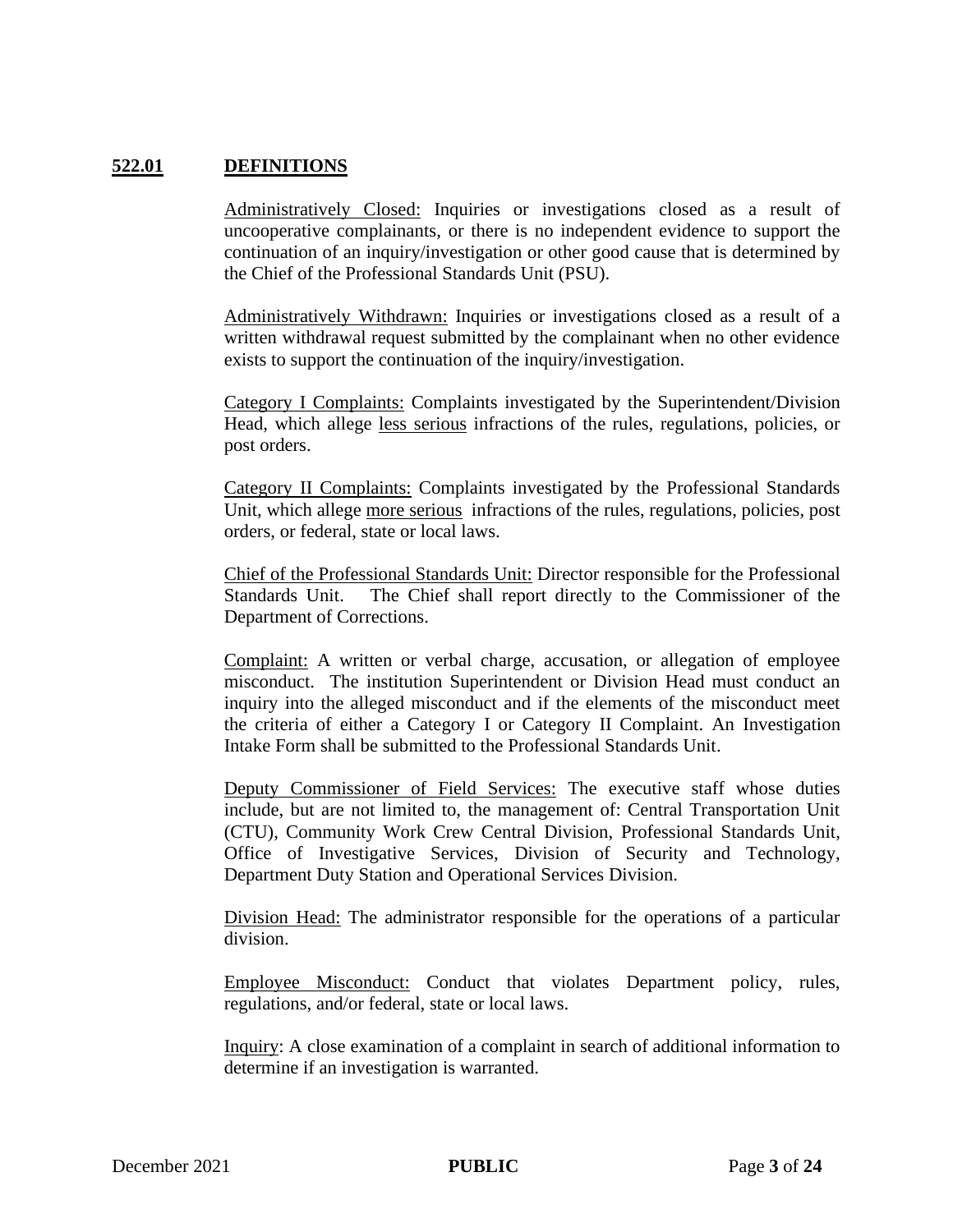#### **522.01 DEFINITIONS**

Administratively Closed: Inquiries or investigations closed as a result of uncooperative complainants, or there is no independent evidence to support the continuation of an inquiry/investigation or other good cause that is determined by the Chief of the Professional Standards Unit (PSU).

Administratively Withdrawn: Inquiries or investigations closed as a result of a written withdrawal request submitted by the complainant when no other evidence exists to support the continuation of the inquiry/investigation.

Category I Complaints: Complaints investigated by the Superintendent/Division Head, which allege less serious infractions of the rules, regulations, policies, or post orders.

Category II Complaints: Complaints investigated by the Professional Standards Unit, which allege more serious infractions of the rules, regulations, policies, post orders, or federal, state or local laws.

Chief of the Professional Standards Unit: Director responsible for the Professional Standards Unit. The Chief shall report directly to the Commissioner of the Department of Corrections.

Complaint: A written or verbal charge, accusation, or allegation of employee misconduct. The institution Superintendent or Division Head must conduct an inquiry into the alleged misconduct and if the elements of the misconduct meet the criteria of either a Category I or Category II Complaint. An Investigation Intake Form shall be submitted to the Professional Standards Unit.

Deputy Commissioner of Field Services: The executive staff whose duties include, but are not limited to, the management of: Central Transportation Unit (CTU), Community Work Crew Central Division, Professional Standards Unit, Office of Investigative Services, Division of Security and Technology, Department Duty Station and Operational Services Division.

Division Head: The administrator responsible for the operations of a particular division.

Employee Misconduct: Conduct that violates Department policy, rules, regulations, and/or federal, state or local laws.

Inquiry: A close examination of a complaint in search of additional information to determine if an investigation is warranted.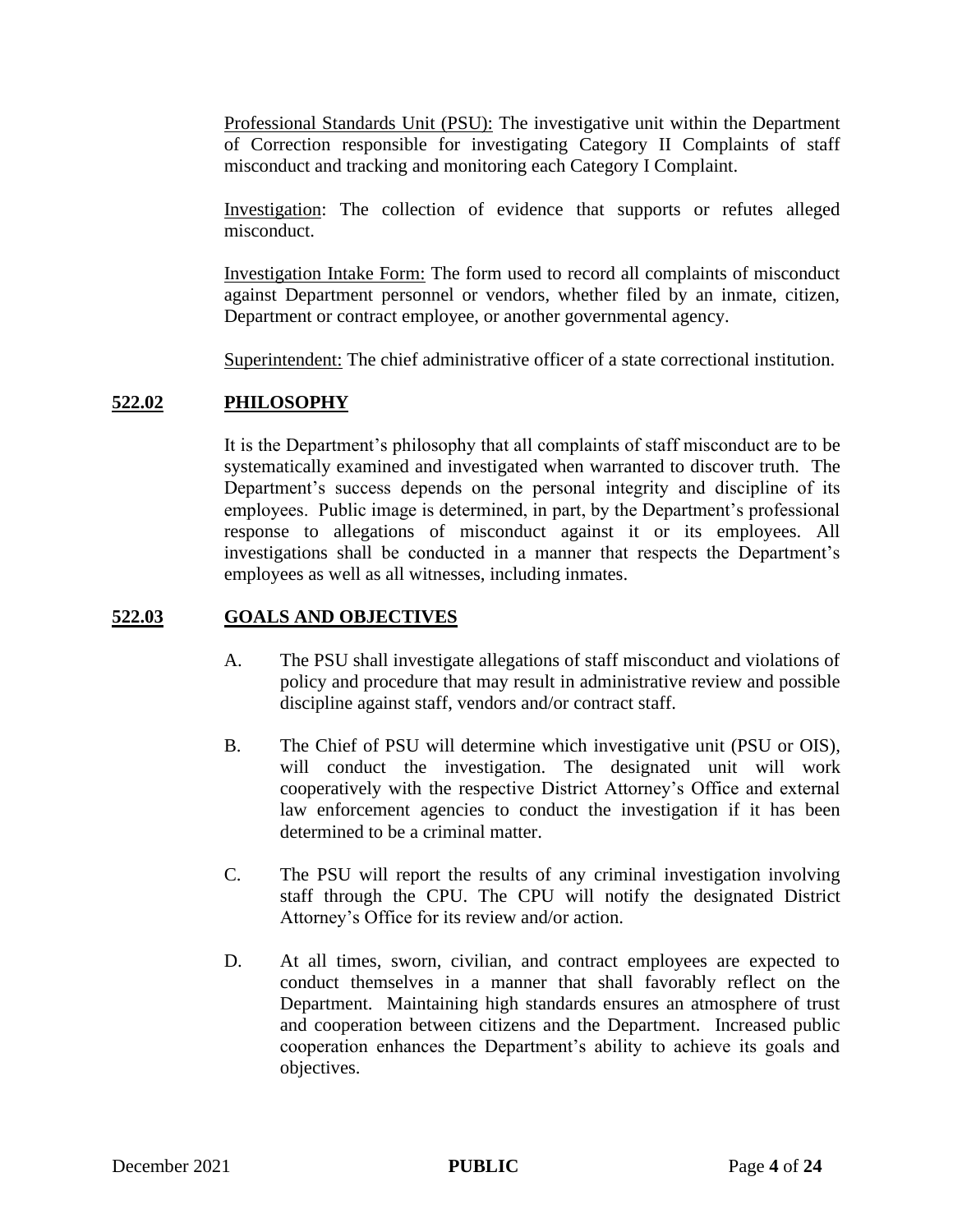Professional Standards Unit (PSU): The investigative unit within the Department of Correction responsible for investigating Category II Complaints of staff misconduct and tracking and monitoring each Category I Complaint.

Investigation: The collection of evidence that supports or refutes alleged misconduct.

Investigation Intake Form: The form used to record all complaints of misconduct against Department personnel or vendors, whether filed by an inmate, citizen, Department or contract employee, or another governmental agency.

Superintendent: The chief administrative officer of a state correctional institution.

### **522.02 PHILOSOPHY**

It is the Department's philosophy that all complaints of staff misconduct are to be systematically examined and investigated when warranted to discover truth. The Department's success depends on the personal integrity and discipline of its employees. Public image is determined, in part, by the Department's professional response to allegations of misconduct against it or its employees. All investigations shall be conducted in a manner that respects the Department's employees as well as all witnesses, including inmates.

### **522.03 GOALS AND OBJECTIVES**

- A. The PSU shall investigate allegations of staff misconduct and violations of policy and procedure that may result in administrative review and possible discipline against staff, vendors and/or contract staff.
- B. The Chief of PSU will determine which investigative unit (PSU or OIS), will conduct the investigation. The designated unit will work cooperatively with the respective District Attorney's Office and external law enforcement agencies to conduct the investigation if it has been determined to be a criminal matter.
- C. The PSU will report the results of any criminal investigation involving staff through the CPU. The CPU will notify the designated District Attorney's Office for its review and/or action.
- D. At all times, sworn, civilian, and contract employees are expected to conduct themselves in a manner that shall favorably reflect on the Department. Maintaining high standards ensures an atmosphere of trust and cooperation between citizens and the Department. Increased public cooperation enhances the Department's ability to achieve its goals and objectives.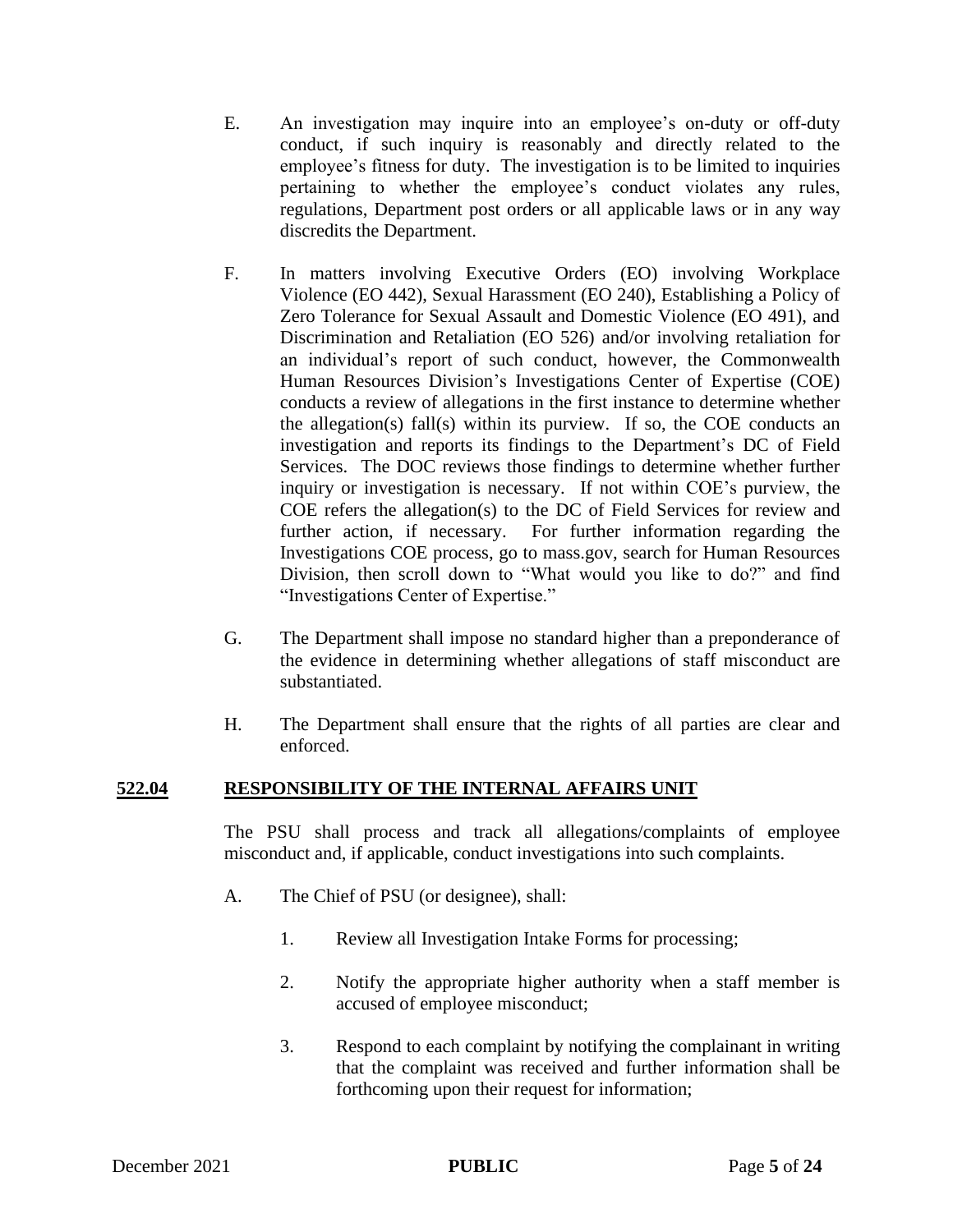- E. An investigation may inquire into an employee's on-duty or off-duty conduct, if such inquiry is reasonably and directly related to the employee's fitness for duty. The investigation is to be limited to inquiries pertaining to whether the employee's conduct violates any rules, regulations, Department post orders or all applicable laws or in any way discredits the Department.
- F. In matters involving Executive Orders (EO) involving Workplace Violence (EO 442), Sexual Harassment (EO 240), Establishing a Policy of Zero Tolerance for Sexual Assault and Domestic Violence (EO 491), and Discrimination and Retaliation (EO 526) and/or involving retaliation for an individual's report of such conduct, however, the Commonwealth Human Resources Division's Investigations Center of Expertise (COE) conducts a review of allegations in the first instance to determine whether the allegation(s) fall(s) within its purview. If so, the COE conducts an investigation and reports its findings to the Department's DC of Field Services. The DOC reviews those findings to determine whether further inquiry or investigation is necessary. If not within COE's purview, the COE refers the allegation(s) to the DC of Field Services for review and further action, if necessary. For further information regarding the Investigations COE process, go to mass.gov, search for Human Resources Division, then scroll down to "What would you like to do?" and find "Investigations Center of Expertise."
- G. The Department shall impose no standard higher than a preponderance of the evidence in determining whether allegations of staff misconduct are substantiated.
- H. The Department shall ensure that the rights of all parties are clear and enforced.

### **522.04 RESPONSIBILITY OF THE INTERNAL AFFAIRS UNIT**

The PSU shall process and track all allegations/complaints of employee misconduct and, if applicable, conduct investigations into such complaints.

- A. The Chief of PSU (or designee), shall:
	- 1. Review all Investigation Intake Forms for processing;
	- 2. Notify the appropriate higher authority when a staff member is accused of employee misconduct;
	- 3. Respond to each complaint by notifying the complainant in writing that the complaint was received and further information shall be forthcoming upon their request for information;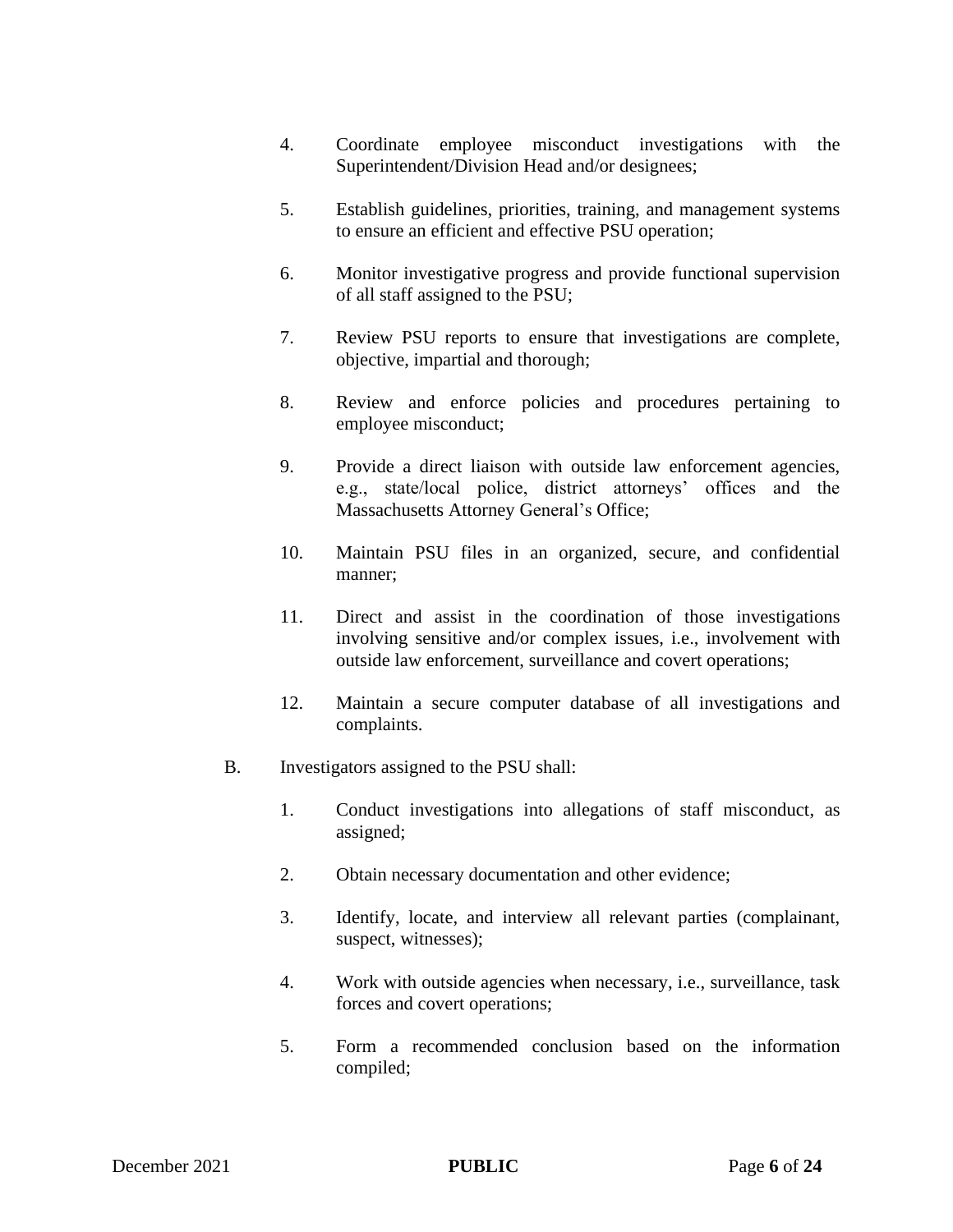- 4. Coordinate employee misconduct investigations with the Superintendent/Division Head and/or designees;
- 5. Establish guidelines, priorities, training, and management systems to ensure an efficient and effective PSU operation;
- 6. Monitor investigative progress and provide functional supervision of all staff assigned to the PSU;
- 7. Review PSU reports to ensure that investigations are complete, objective, impartial and thorough;
- 8. Review and enforce policies and procedures pertaining to employee misconduct;
- 9. Provide a direct liaison with outside law enforcement agencies, e.g., state/local police, district attorneys' offices and the Massachusetts Attorney General's Office;
- 10. Maintain PSU files in an organized, secure, and confidential manner;
- 11. Direct and assist in the coordination of those investigations involving sensitive and/or complex issues, i.e., involvement with outside law enforcement, surveillance and covert operations;
- 12. Maintain a secure computer database of all investigations and complaints.
- B. Investigators assigned to the PSU shall:
	- 1. Conduct investigations into allegations of staff misconduct, as assigned;
	- 2. Obtain necessary documentation and other evidence;
	- 3. Identify, locate, and interview all relevant parties (complainant, suspect, witnesses);
	- 4. Work with outside agencies when necessary, i.e., surveillance, task forces and covert operations;
	- 5. Form a recommended conclusion based on the information compiled;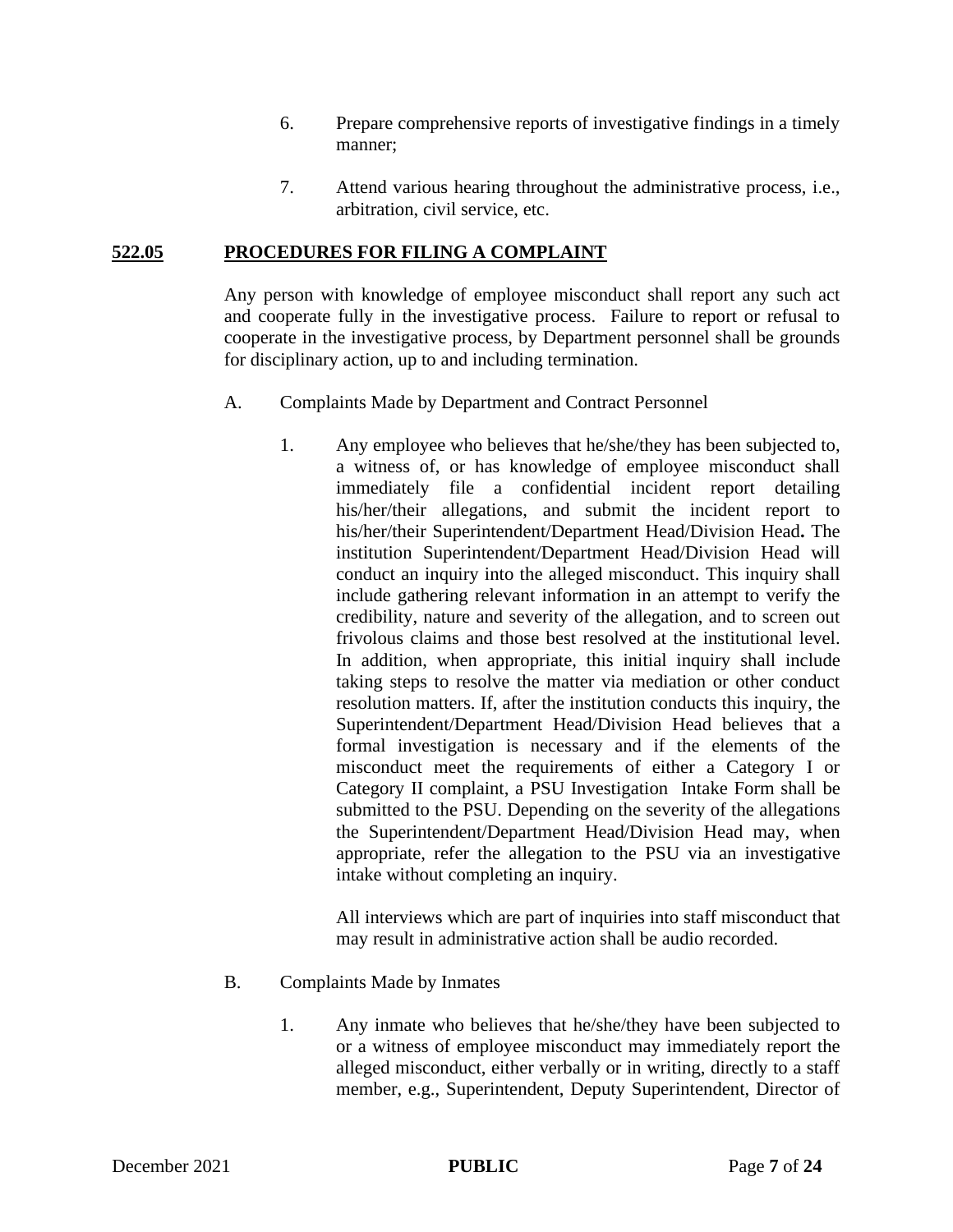- 6. Prepare comprehensive reports of investigative findings in a timely manner;
- 7. Attend various hearing throughout the administrative process, i.e., arbitration, civil service, etc.

#### **522.05 PROCEDURES FOR FILING A COMPLAINT**

Any person with knowledge of employee misconduct shall report any such act and cooperate fully in the investigative process. Failure to report or refusal to cooperate in the investigative process, by Department personnel shall be grounds for disciplinary action, up to and including termination.

- A. Complaints Made by Department and Contract Personnel
	- 1. Any employee who believes that he/she/they has been subjected to, a witness of, or has knowledge of employee misconduct shall immediately file a confidential incident report detailing his/her/their allegations, and submit the incident report to his/her/their Superintendent/Department Head/Division Head**.** The institution Superintendent/Department Head/Division Head will conduct an inquiry into the alleged misconduct. This inquiry shall include gathering relevant information in an attempt to verify the credibility, nature and severity of the allegation, and to screen out frivolous claims and those best resolved at the institutional level. In addition, when appropriate, this initial inquiry shall include taking steps to resolve the matter via mediation or other conduct resolution matters. If, after the institution conducts this inquiry, the Superintendent/Department Head/Division Head believes that a formal investigation is necessary and if the elements of the misconduct meet the requirements of either a Category I or Category II complaint, a PSU Investigation Intake Form shall be submitted to the PSU. Depending on the severity of the allegations the Superintendent/Department Head/Division Head may, when appropriate, refer the allegation to the PSU via an investigative intake without completing an inquiry.

All interviews which are part of inquiries into staff misconduct that may result in administrative action shall be audio recorded.

#### B. Complaints Made by Inmates

1. Any inmate who believes that he/she/they have been subjected to or a witness of employee misconduct may immediately report the alleged misconduct, either verbally or in writing, directly to a staff member, e.g., Superintendent, Deputy Superintendent, Director of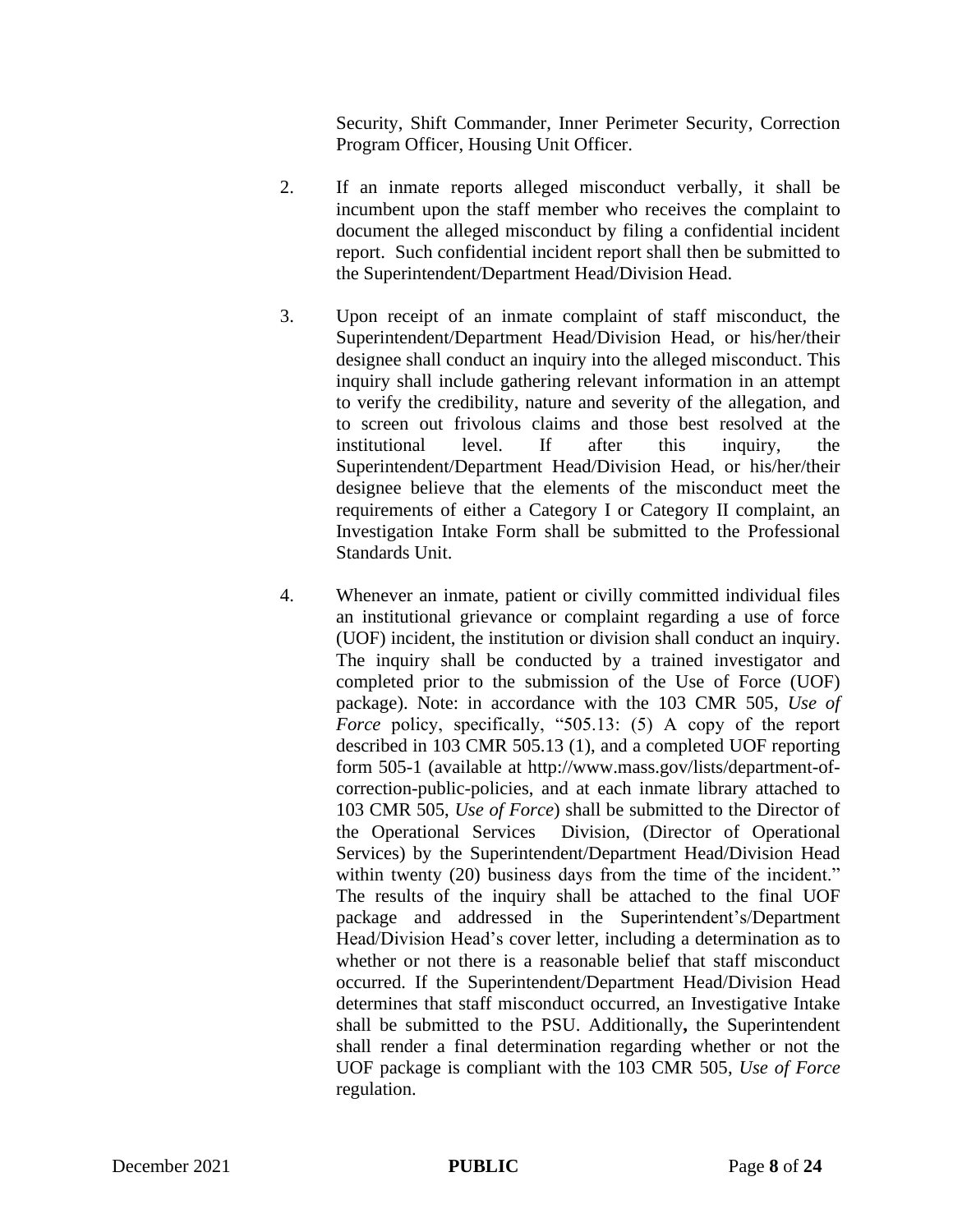Security, Shift Commander, Inner Perimeter Security, Correction Program Officer, Housing Unit Officer.

- 2. If an inmate reports alleged misconduct verbally, it shall be incumbent upon the staff member who receives the complaint to document the alleged misconduct by filing a confidential incident report. Such confidential incident report shall then be submitted to the Superintendent/Department Head/Division Head.
- 3. Upon receipt of an inmate complaint of staff misconduct, the Superintendent/Department Head/Division Head, or his/her/their designee shall conduct an inquiry into the alleged misconduct. This inquiry shall include gathering relevant information in an attempt to verify the credibility, nature and severity of the allegation, and to screen out frivolous claims and those best resolved at the institutional level. If after this inquiry, the Superintendent/Department Head/Division Head, or his/her/their designee believe that the elements of the misconduct meet the requirements of either a Category I or Category II complaint, an Investigation Intake Form shall be submitted to the Professional Standards Unit.
- 4. Whenever an inmate, patient or civilly committed individual files an institutional grievance or complaint regarding a use of force (UOF) incident, the institution or division shall conduct an inquiry. The inquiry shall be conducted by a trained investigator and completed prior to the submission of the Use of Force (UOF) package). Note: in accordance with the 103 CMR 505, *Use of Force* policy, specifically, "505.13: (5) A copy of the report described in 103 CMR 505.13 (1), and a completed UOF reporting form 505-1 (available at http://www.mass.gov/lists/department-ofcorrection-public-policies, and at each inmate library attached to 103 CMR 505, *Use of Force*) shall be submitted to the Director of the Operational Services Division, (Director of Operational Services) by the Superintendent/Department Head/Division Head within twenty (20) business days from the time of the incident." The results of the inquiry shall be attached to the final UOF package and addressed in the Superintendent's/Department Head/Division Head's cover letter, including a determination as to whether or not there is a reasonable belief that staff misconduct occurred. If the Superintendent/Department Head/Division Head determines that staff misconduct occurred, an Investigative Intake shall be submitted to the PSU. Additionally**,** the Superintendent shall render a final determination regarding whether or not the UOF package is compliant with the 103 CMR 505, *Use of Force* regulation.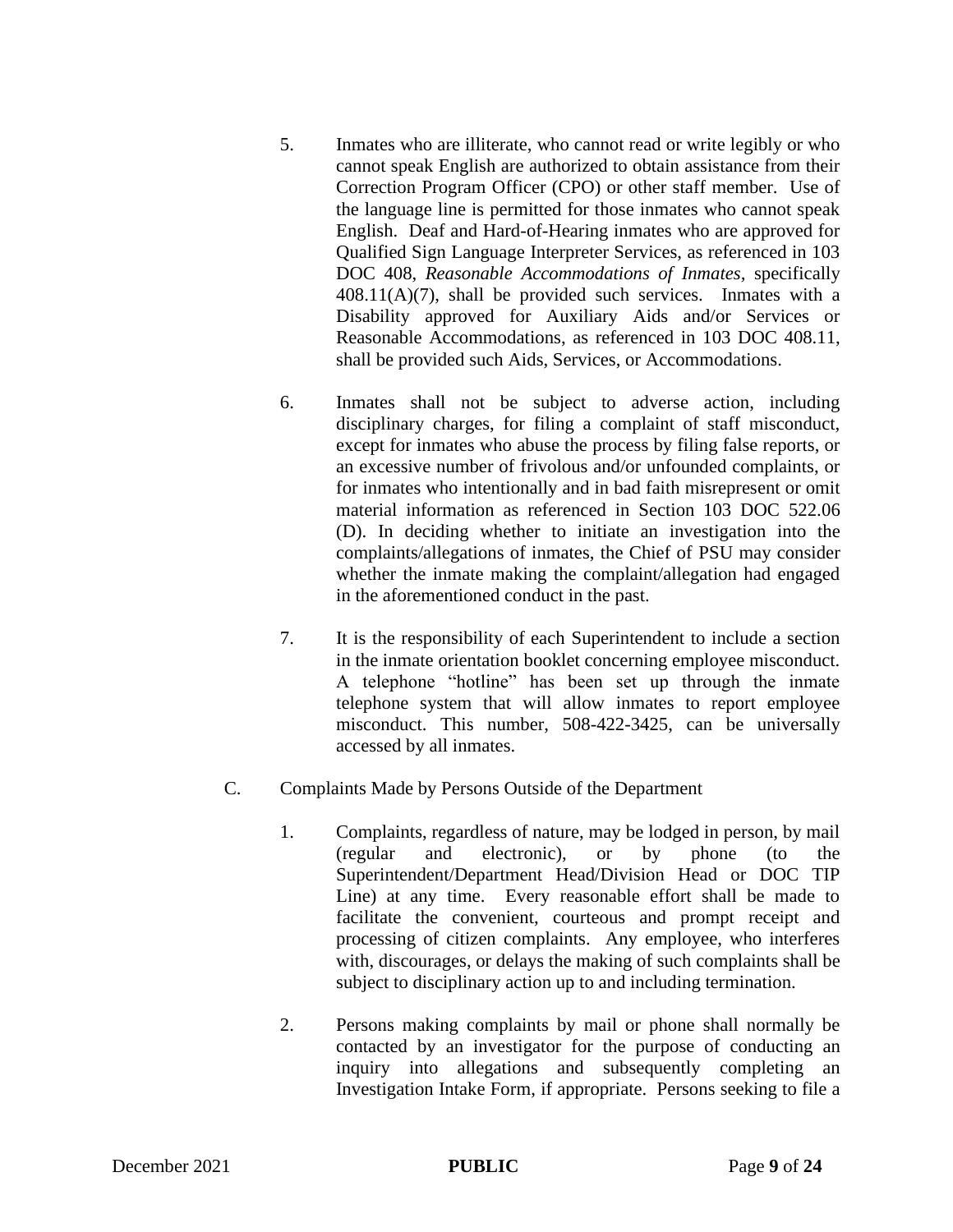- 5. Inmates who are illiterate, who cannot read or write legibly or who cannot speak English are authorized to obtain assistance from their Correction Program Officer (CPO) or other staff member. Use of the language line is permitted for those inmates who cannot speak English. Deaf and Hard-of-Hearing inmates who are approved for Qualified Sign Language Interpreter Services, as referenced in 103 DOC 408, *Reasonable Accommodations of Inmates,* specifically  $408.11(A)(7)$ , shall be provided such services. Inmates with a Disability approved for Auxiliary Aids and/or Services or Reasonable Accommodations, as referenced in 103 DOC 408.11, shall be provided such Aids, Services, or Accommodations.
- 6. Inmates shall not be subject to adverse action, including disciplinary charges, for filing a complaint of staff misconduct, except for inmates who abuse the process by filing false reports, or an excessive number of frivolous and/or unfounded complaints, or for inmates who intentionally and in bad faith misrepresent or omit material information as referenced in Section 103 DOC 522.06 (D). In deciding whether to initiate an investigation into the complaints/allegations of inmates, the Chief of PSU may consider whether the inmate making the complaint/allegation had engaged in the aforementioned conduct in the past.
- 7. It is the responsibility of each Superintendent to include a section in the inmate orientation booklet concerning employee misconduct. A telephone "hotline" has been set up through the inmate telephone system that will allow inmates to report employee misconduct. This number, 508-422-3425, can be universally accessed by all inmates.
- C. Complaints Made by Persons Outside of the Department
	- 1. Complaints, regardless of nature, may be lodged in person, by mail (regular and electronic), or by phone (to the Superintendent/Department Head/Division Head or DOC TIP Line) at any time. Every reasonable effort shall be made to facilitate the convenient, courteous and prompt receipt and processing of citizen complaints. Any employee, who interferes with, discourages, or delays the making of such complaints shall be subject to disciplinary action up to and including termination.
	- 2. Persons making complaints by mail or phone shall normally be contacted by an investigator for the purpose of conducting an inquiry into allegations and subsequently completing an Investigation Intake Form, if appropriate. Persons seeking to file a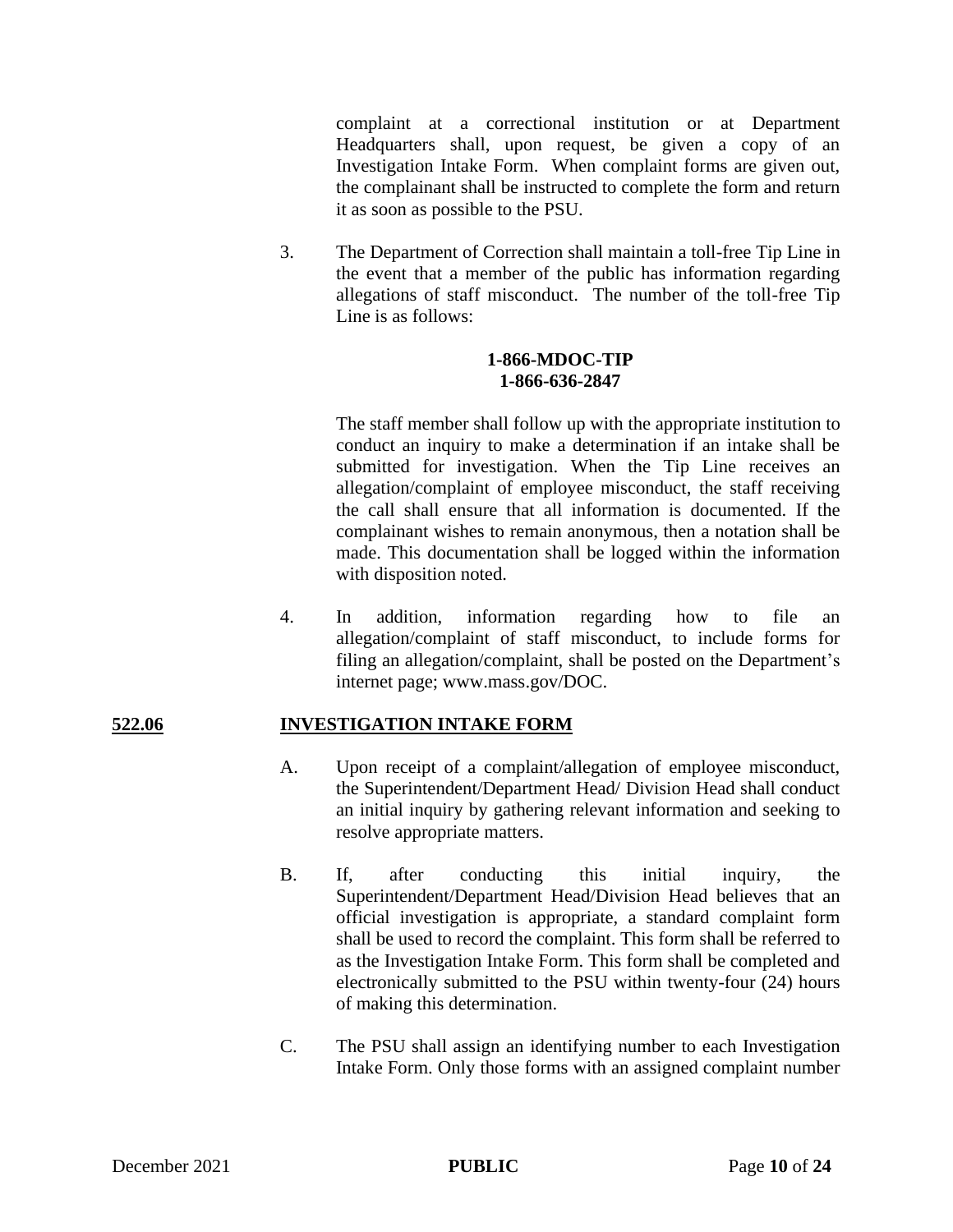complaint at a correctional institution or at Department Headquarters shall, upon request, be given a copy of an Investigation Intake Form. When complaint forms are given out, the complainant shall be instructed to complete the form and return it as soon as possible to the PSU.

3. The Department of Correction shall maintain a toll-free Tip Line in the event that a member of the public has information regarding allegations of staff misconduct. The number of the toll-free Tip Line is as follows:

#### **1-866-MDOC-TIP 1-866-636-2847**

The staff member shall follow up with the appropriate institution to conduct an inquiry to make a determination if an intake shall be submitted for investigation. When the Tip Line receives an allegation/complaint of employee misconduct, the staff receiving the call shall ensure that all information is documented. If the complainant wishes to remain anonymous, then a notation shall be made. This documentation shall be logged within the information with disposition noted.

4. In addition, information regarding how to file an allegation/complaint of staff misconduct, to include forms for filing an allegation/complaint, shall be posted on the Department's internet page; www.mass.gov/DOC.

### **522.06 INVESTIGATION INTAKE FORM**

- A. Upon receipt of a complaint/allegation of employee misconduct, the Superintendent/Department Head/ Division Head shall conduct an initial inquiry by gathering relevant information and seeking to resolve appropriate matters.
- B. If, after conducting this initial inquiry, the Superintendent/Department Head/Division Head believes that an official investigation is appropriate, a standard complaint form shall be used to record the complaint. This form shall be referred to as the Investigation Intake Form. This form shall be completed and electronically submitted to the PSU within twenty-four (24) hours of making this determination.
- C. The PSU shall assign an identifying number to each Investigation Intake Form. Only those forms with an assigned complaint number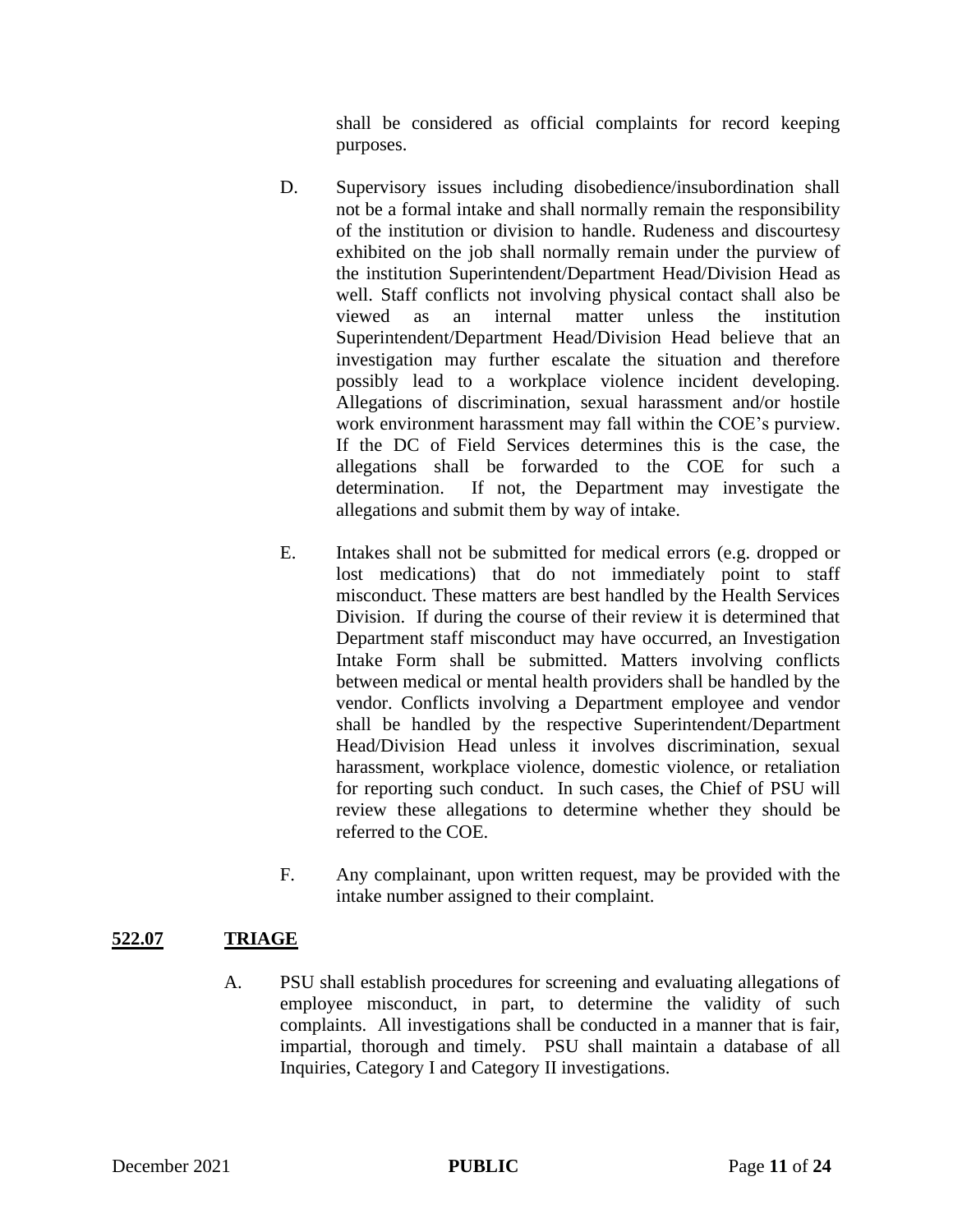shall be considered as official complaints for record keeping purposes.

- D. Supervisory issues including disobedience/insubordination shall not be a formal intake and shall normally remain the responsibility of the institution or division to handle. Rudeness and discourtesy exhibited on the job shall normally remain under the purview of the institution Superintendent/Department Head/Division Head as well. Staff conflicts not involving physical contact shall also be viewed as an internal matter unless the institution Superintendent/Department Head/Division Head believe that an investigation may further escalate the situation and therefore possibly lead to a workplace violence incident developing. Allegations of discrimination, sexual harassment and/or hostile work environment harassment may fall within the COE's purview. If the DC of Field Services determines this is the case, the allegations shall be forwarded to the COE for such a determination. If not, the Department may investigate the allegations and submit them by way of intake.
- E. Intakes shall not be submitted for medical errors (e.g. dropped or lost medications) that do not immediately point to staff misconduct. These matters are best handled by the Health Services Division. If during the course of their review it is determined that Department staff misconduct may have occurred, an Investigation Intake Form shall be submitted. Matters involving conflicts between medical or mental health providers shall be handled by the vendor. Conflicts involving a Department employee and vendor shall be handled by the respective Superintendent/Department Head/Division Head unless it involves discrimination, sexual harassment, workplace violence, domestic violence, or retaliation for reporting such conduct. In such cases, the Chief of PSU will review these allegations to determine whether they should be referred to the COE.
- F. Any complainant, upon written request, may be provided with the intake number assigned to their complaint.

### **522.07 TRIAGE**

A. PSU shall establish procedures for screening and evaluating allegations of employee misconduct, in part, to determine the validity of such complaints. All investigations shall be conducted in a manner that is fair, impartial, thorough and timely. PSU shall maintain a database of all Inquiries, Category I and Category II investigations.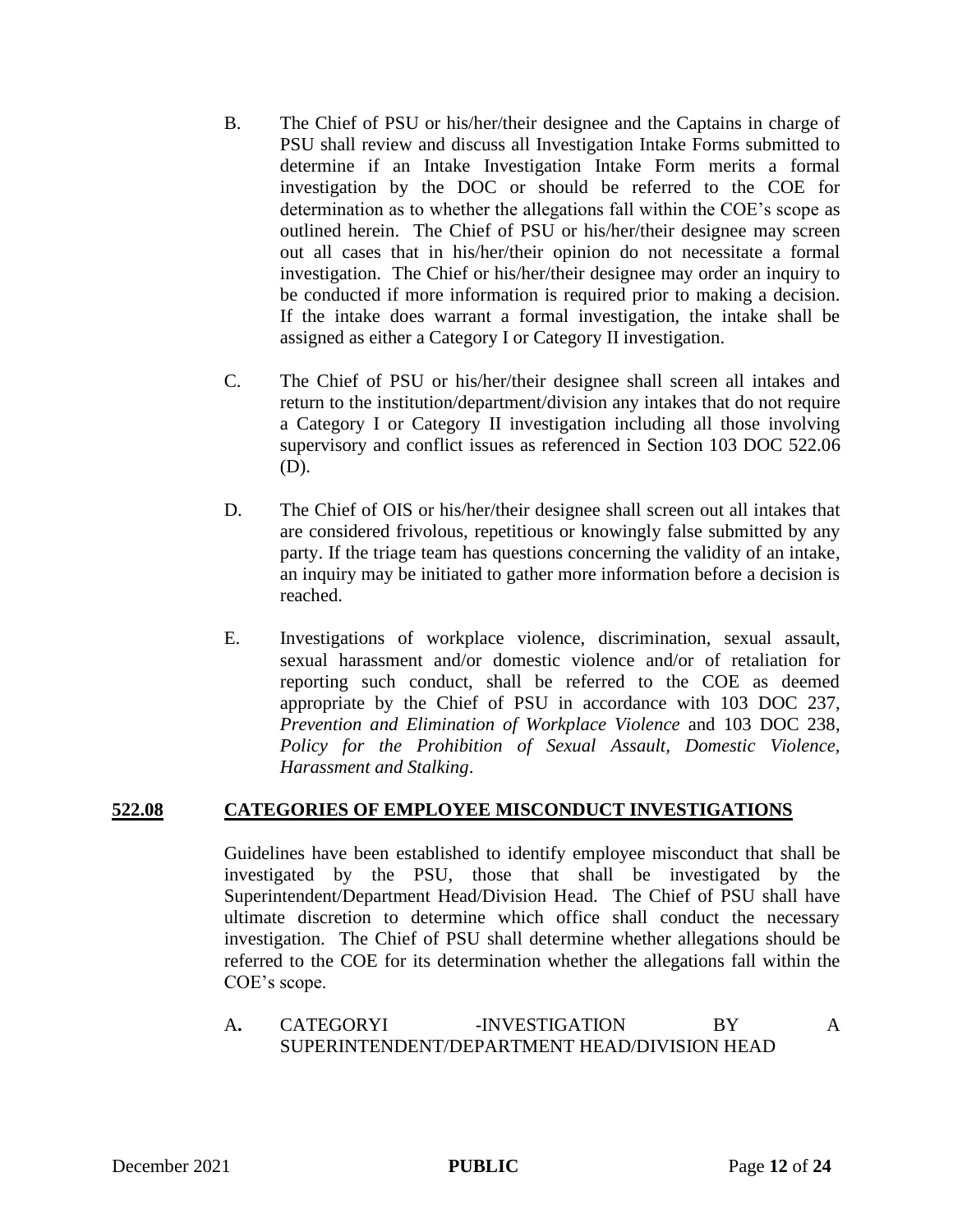- B. The Chief of PSU or his/her/their designee and the Captains in charge of PSU shall review and discuss all Investigation Intake Forms submitted to determine if an Intake Investigation Intake Form merits a formal investigation by the DOC or should be referred to the COE for determination as to whether the allegations fall within the COE's scope as outlined herein. The Chief of PSU or his/her/their designee may screen out all cases that in his/her/their opinion do not necessitate a formal investigation. The Chief or his/her/their designee may order an inquiry to be conducted if more information is required prior to making a decision. If the intake does warrant a formal investigation, the intake shall be assigned as either a Category I or Category II investigation.
- C. The Chief of PSU or his/her/their designee shall screen all intakes and return to the institution/department/division any intakes that do not require a Category I or Category II investigation including all those involving supervisory and conflict issues as referenced in Section 103 DOC 522.06 (D).
- D. The Chief of OIS or his/her/their designee shall screen out all intakes that are considered frivolous, repetitious or knowingly false submitted by any party. If the triage team has questions concerning the validity of an intake, an inquiry may be initiated to gather more information before a decision is reached.
- E. Investigations of workplace violence, discrimination, sexual assault, sexual harassment and/or domestic violence and/or of retaliation for reporting such conduct, shall be referred to the COE as deemed appropriate by the Chief of PSU in accordance with 103 DOC 237, *Prevention and Elimination of Workplace Violence* and 103 DOC 238, *Policy for the Prohibition of Sexual Assault, Domestic Violence, Harassment and Stalking*.

### **522.08 CATEGORIES OF EMPLOYEE MISCONDUCT INVESTIGATIONS**

Guidelines have been established to identify employee misconduct that shall be investigated by the PSU, those that shall be investigated by the Superintendent/Department Head/Division Head. The Chief of PSU shall have ultimate discretion to determine which office shall conduct the necessary investigation. The Chief of PSU shall determine whether allegations should be referred to the COE for its determination whether the allegations fall within the COE's scope.

A**.** CATEGORYI -INVESTIGATION BY A SUPERINTENDENT/DEPARTMENT HEAD/DIVISION HEAD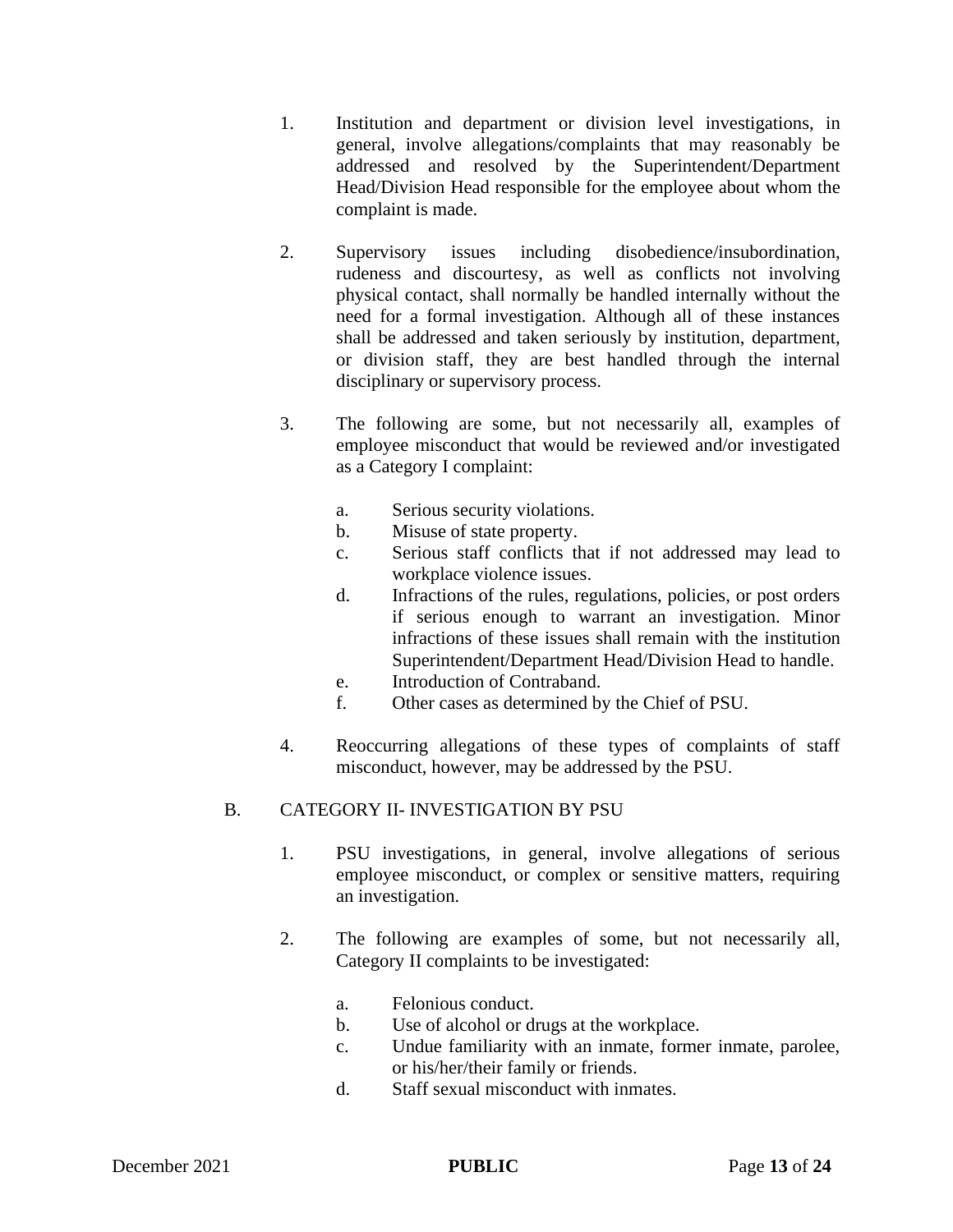- 1. Institution and department or division level investigations, in general, involve allegations/complaints that may reasonably be addressed and resolved by the Superintendent/Department Head/Division Head responsible for the employee about whom the complaint is made.
- 2. Supervisory issues including disobedience/insubordination, rudeness and discourtesy, as well as conflicts not involving physical contact, shall normally be handled internally without the need for a formal investigation. Although all of these instances shall be addressed and taken seriously by institution, department, or division staff, they are best handled through the internal disciplinary or supervisory process.
- 3. The following are some, but not necessarily all, examples of employee misconduct that would be reviewed and/or investigated as a Category I complaint:
	- a. Serious security violations.
	- b. Misuse of state property.
	- c. Serious staff conflicts that if not addressed may lead to workplace violence issues.
	- d. Infractions of the rules, regulations, policies, or post orders if serious enough to warrant an investigation. Minor infractions of these issues shall remain with the institution Superintendent/Department Head/Division Head to handle.
	- e. Introduction of Contraband.
	- f. Other cases as determined by the Chief of PSU.
- 4. Reoccurring allegations of these types of complaints of staff misconduct, however, may be addressed by the PSU.

### B. CATEGORY II- INVESTIGATION BY PSU

- 1. PSU investigations, in general, involve allegations of serious employee misconduct, or complex or sensitive matters, requiring an investigation.
- 2. The following are examples of some, but not necessarily all, Category II complaints to be investigated:
	- a. Felonious conduct.
	- b. Use of alcohol or drugs at the workplace.
	- c. Undue familiarity with an inmate, former inmate, parolee, or his/her/their family or friends.
	- d. Staff sexual misconduct with inmates.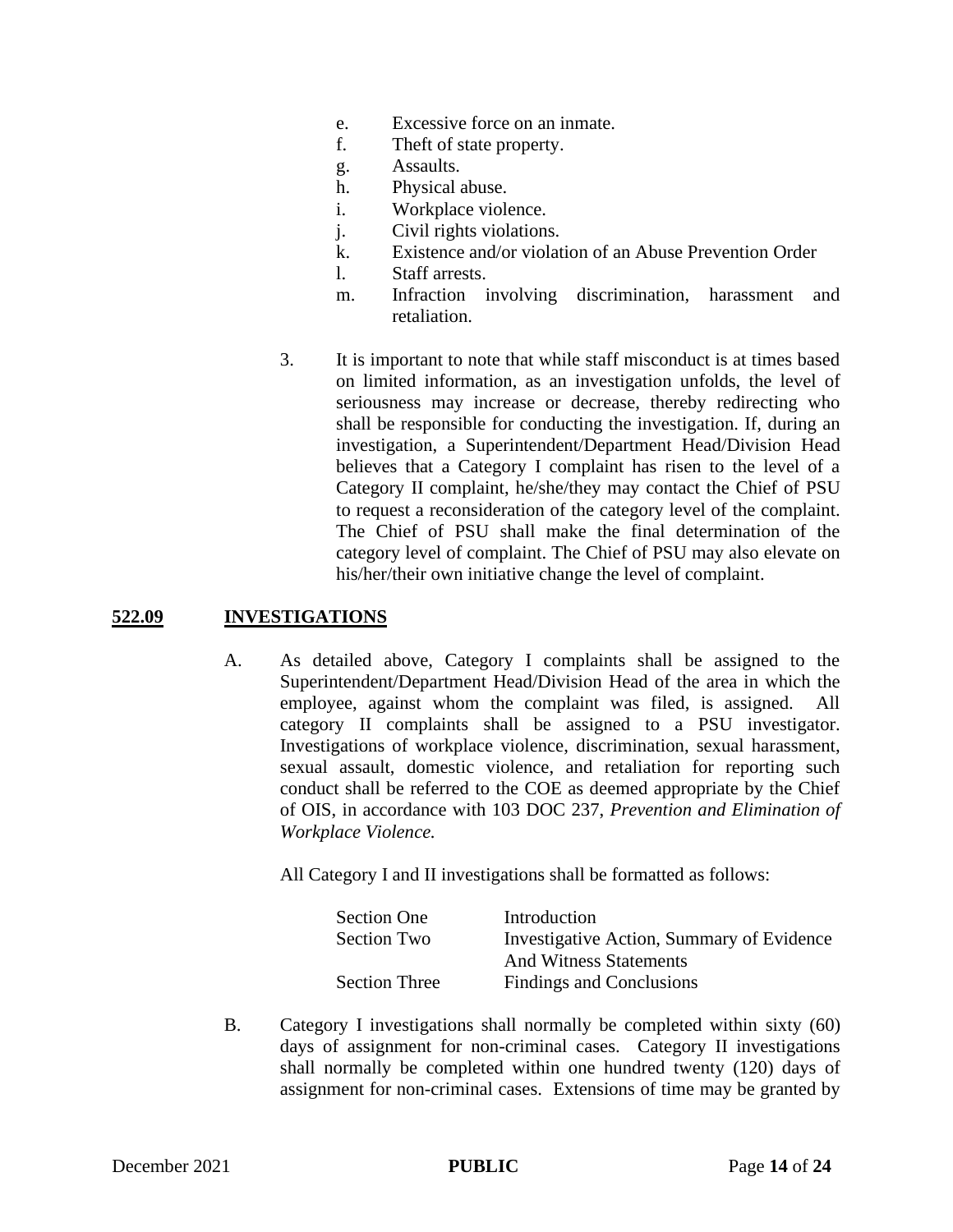- e. Excessive force on an inmate.
- f. Theft of state property.
- g. Assaults.
- h. Physical abuse.
- i. Workplace violence.
- j. Civil rights violations.
- k. Existence and/or violation of an Abuse Prevention Order
- l. Staff arrests.
- m. Infraction involving discrimination, harassment and retaliation.
- 3. It is important to note that while staff misconduct is at times based on limited information, as an investigation unfolds, the level of seriousness may increase or decrease, thereby redirecting who shall be responsible for conducting the investigation. If, during an investigation, a Superintendent/Department Head/Division Head believes that a Category I complaint has risen to the level of a Category II complaint, he/she/they may contact the Chief of PSU to request a reconsideration of the category level of the complaint. The Chief of PSU shall make the final determination of the category level of complaint. The Chief of PSU may also elevate on his/her/their own initiative change the level of complaint.

#### **522.09 INVESTIGATIONS**

A. As detailed above, Category I complaints shall be assigned to the Superintendent/Department Head/Division Head of the area in which the employee, against whom the complaint was filed, is assigned. All category II complaints shall be assigned to a PSU investigator. Investigations of workplace violence, discrimination, sexual harassment, sexual assault, domestic violence, and retaliation for reporting such conduct shall be referred to the COE as deemed appropriate by the Chief of OIS, in accordance with 103 DOC 237, *Prevention and Elimination of Workplace Violence.*

All Category I and II investigations shall be formatted as follows:

| <b>Section One</b>   | Introduction                              |
|----------------------|-------------------------------------------|
| Section Two          | Investigative Action, Summary of Evidence |
|                      | <b>And Witness Statements</b>             |
| <b>Section Three</b> | Findings and Conclusions                  |

B. Category I investigations shall normally be completed within sixty (60) days of assignment for non-criminal cases. Category II investigations shall normally be completed within one hundred twenty (120) days of assignment for non-criminal cases. Extensions of time may be granted by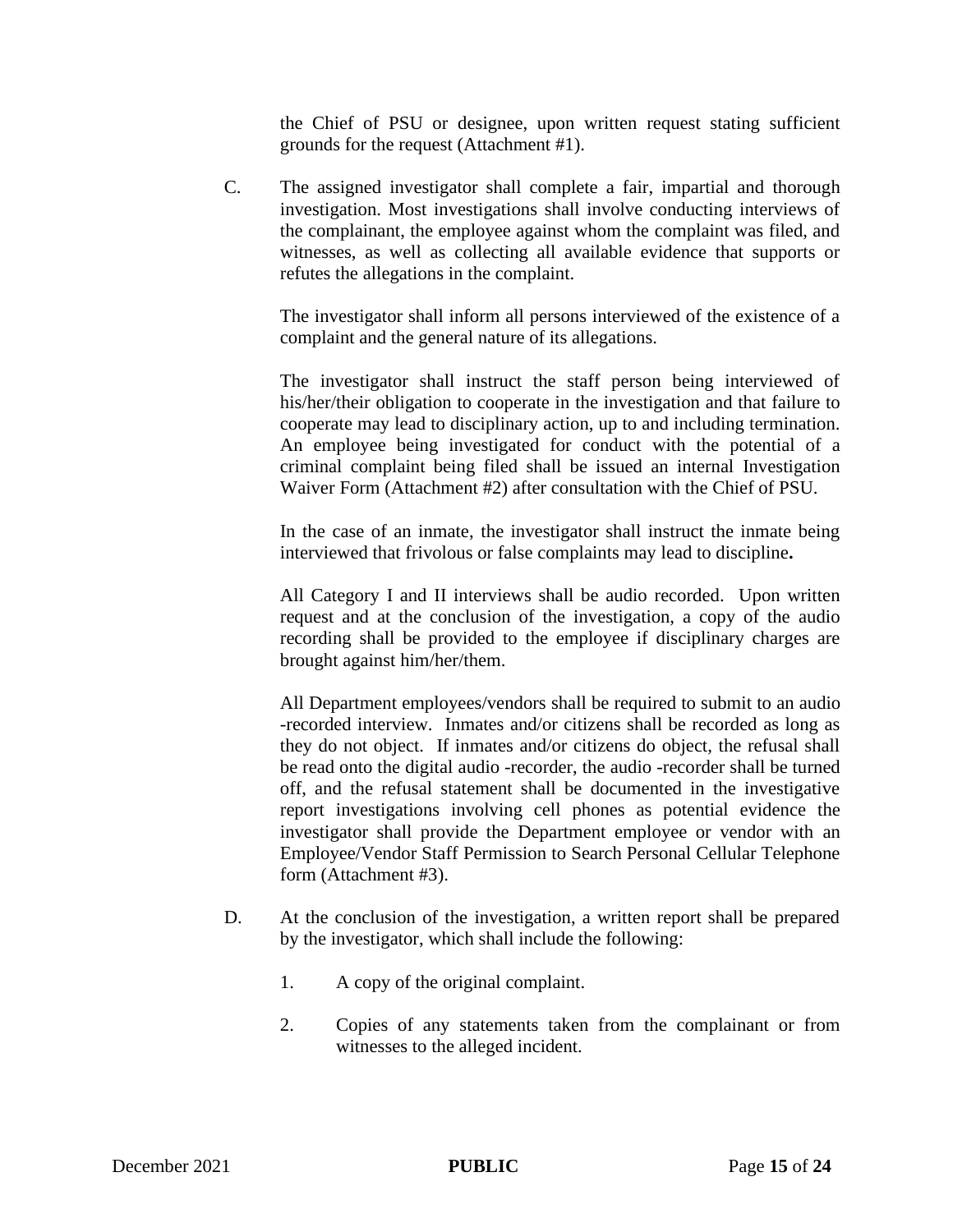the Chief of PSU or designee, upon written request stating sufficient grounds for the request (Attachment #1).

C. The assigned investigator shall complete a fair, impartial and thorough investigation. Most investigations shall involve conducting interviews of the complainant, the employee against whom the complaint was filed, and witnesses, as well as collecting all available evidence that supports or refutes the allegations in the complaint.

The investigator shall inform all persons interviewed of the existence of a complaint and the general nature of its allegations.

The investigator shall instruct the staff person being interviewed of his/her/their obligation to cooperate in the investigation and that failure to cooperate may lead to disciplinary action, up to and including termination. An employee being investigated for conduct with the potential of a criminal complaint being filed shall be issued an internal Investigation Waiver Form (Attachment #2) after consultation with the Chief of PSU.

In the case of an inmate, the investigator shall instruct the inmate being interviewed that frivolous or false complaints may lead to discipline**.**

All Category I and II interviews shall be audio recorded. Upon written request and at the conclusion of the investigation, a copy of the audio recording shall be provided to the employee if disciplinary charges are brought against him/her/them.

All Department employees/vendors shall be required to submit to an audio -recorded interview. Inmates and/or citizens shall be recorded as long as they do not object. If inmates and/or citizens do object, the refusal shall be read onto the digital audio -recorder, the audio -recorder shall be turned off, and the refusal statement shall be documented in the investigative report investigations involving cell phones as potential evidence the investigator shall provide the Department employee or vendor with an Employee/Vendor Staff Permission to Search Personal Cellular Telephone form (Attachment #3).

- D. At the conclusion of the investigation, a written report shall be prepared by the investigator, which shall include the following:
	- 1. A copy of the original complaint.
	- 2. Copies of any statements taken from the complainant or from witnesses to the alleged incident.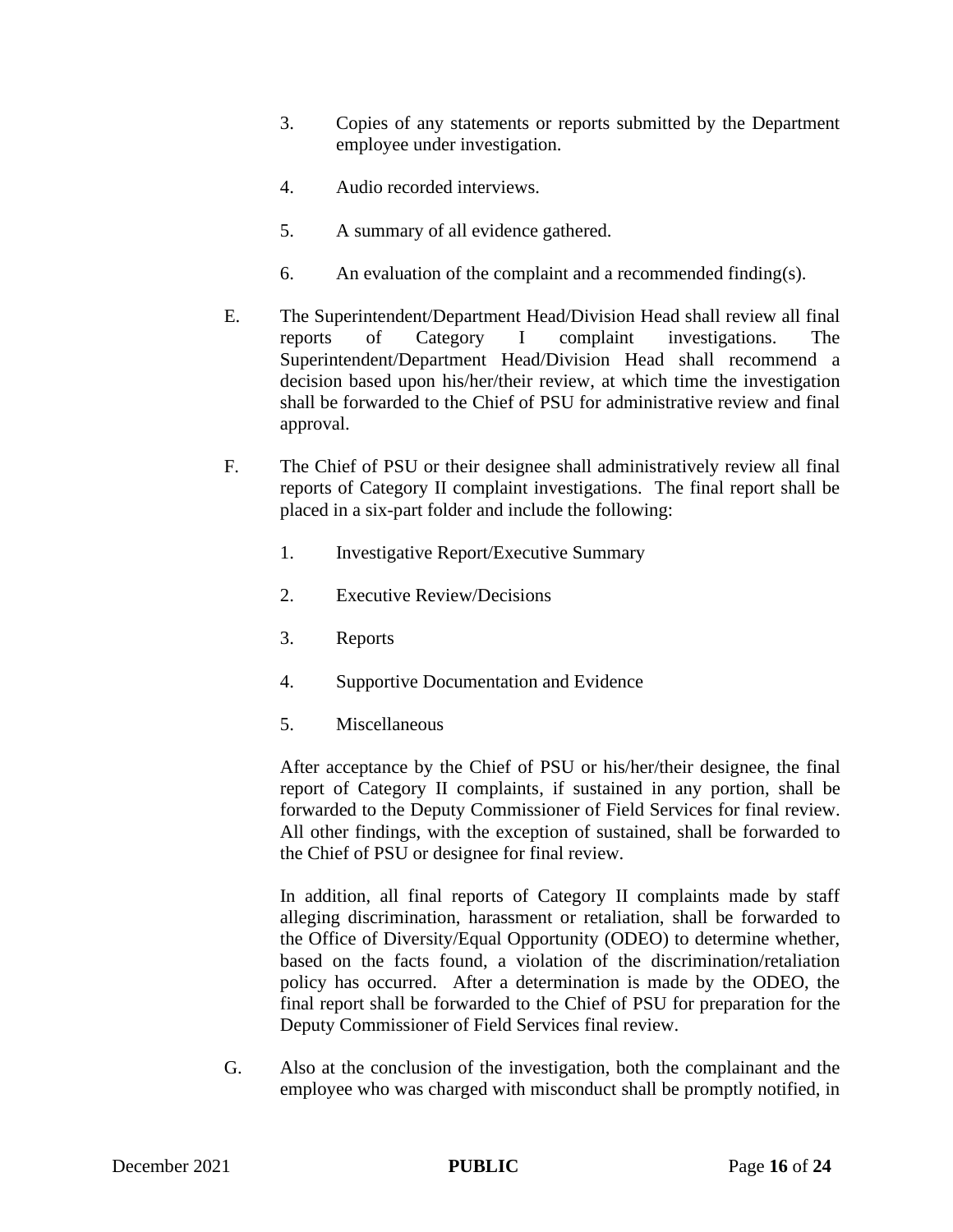- 3. Copies of any statements or reports submitted by the Department employee under investigation.
- 4. Audio recorded interviews.
- 5. A summary of all evidence gathered.
- 6. An evaluation of the complaint and a recommended finding(s).
- E. The Superintendent/Department Head/Division Head shall review all final reports of Category I complaint investigations. The Superintendent/Department Head/Division Head shall recommend a decision based upon his/her/their review, at which time the investigation shall be forwarded to the Chief of PSU for administrative review and final approval.
- F. The Chief of PSU or their designee shall administratively review all final reports of Category II complaint investigations. The final report shall be placed in a six-part folder and include the following:
	- 1. Investigative Report/Executive Summary
	- 2. Executive Review/Decisions
	- 3. Reports
	- 4. Supportive Documentation and Evidence
	- 5. Miscellaneous

After acceptance by the Chief of PSU or his/her/their designee, the final report of Category II complaints, if sustained in any portion, shall be forwarded to the Deputy Commissioner of Field Services for final review. All other findings, with the exception of sustained, shall be forwarded to the Chief of PSU or designee for final review.

In addition, all final reports of Category II complaints made by staff alleging discrimination, harassment or retaliation, shall be forwarded to the Office of Diversity/Equal Opportunity (ODEO) to determine whether, based on the facts found, a violation of the discrimination/retaliation policy has occurred. After a determination is made by the ODEO, the final report shall be forwarded to the Chief of PSU for preparation for the Deputy Commissioner of Field Services final review.

G. Also at the conclusion of the investigation, both the complainant and the employee who was charged with misconduct shall be promptly notified, in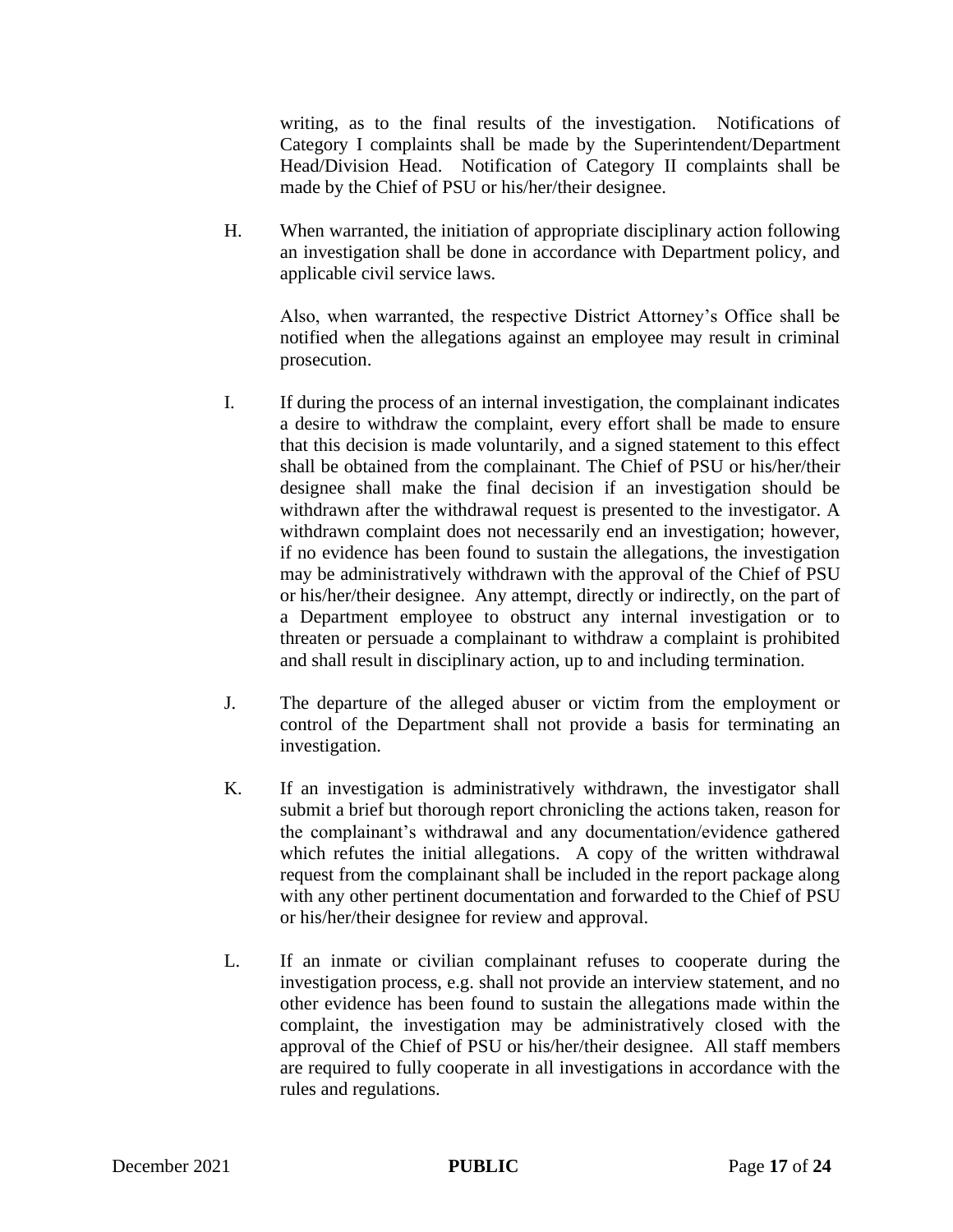writing, as to the final results of the investigation. Notifications of Category I complaints shall be made by the Superintendent/Department Head/Division Head. Notification of Category II complaints shall be made by the Chief of PSU or his/her/their designee.

H. When warranted, the initiation of appropriate disciplinary action following an investigation shall be done in accordance with Department policy, and applicable civil service laws.

Also, when warranted, the respective District Attorney's Office shall be notified when the allegations against an employee may result in criminal prosecution.

- I. If during the process of an internal investigation, the complainant indicates a desire to withdraw the complaint, every effort shall be made to ensure that this decision is made voluntarily, and a signed statement to this effect shall be obtained from the complainant. The Chief of PSU or his/her/their designee shall make the final decision if an investigation should be withdrawn after the withdrawal request is presented to the investigator. A withdrawn complaint does not necessarily end an investigation; however, if no evidence has been found to sustain the allegations, the investigation may be administratively withdrawn with the approval of the Chief of PSU or his/her/their designee. Any attempt, directly or indirectly, on the part of a Department employee to obstruct any internal investigation or to threaten or persuade a complainant to withdraw a complaint is prohibited and shall result in disciplinary action, up to and including termination.
- J. The departure of the alleged abuser or victim from the employment or control of the Department shall not provide a basis for terminating an investigation.
- K. If an investigation is administratively withdrawn, the investigator shall submit a brief but thorough report chronicling the actions taken, reason for the complainant's withdrawal and any documentation/evidence gathered which refutes the initial allegations. A copy of the written withdrawal request from the complainant shall be included in the report package along with any other pertinent documentation and forwarded to the Chief of PSU or his/her/their designee for review and approval.
- L. If an inmate or civilian complainant refuses to cooperate during the investigation process, e.g. shall not provide an interview statement, and no other evidence has been found to sustain the allegations made within the complaint, the investigation may be administratively closed with the approval of the Chief of PSU or his/her/their designee. All staff members are required to fully cooperate in all investigations in accordance with the rules and regulations.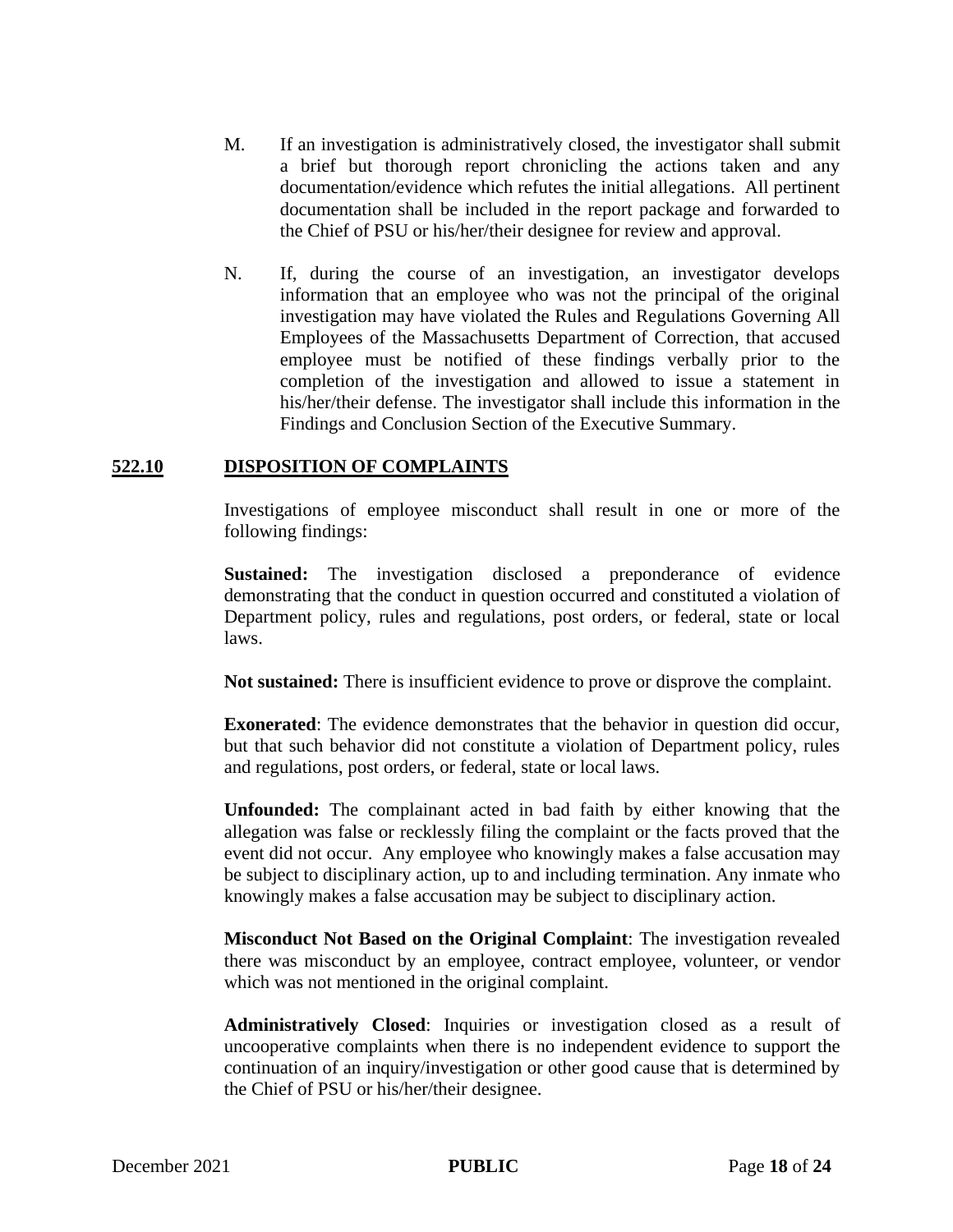- M. If an investigation is administratively closed, the investigator shall submit a brief but thorough report chronicling the actions taken and any documentation/evidence which refutes the initial allegations. All pertinent documentation shall be included in the report package and forwarded to the Chief of PSU or his/her/their designee for review and approval.
- N. If, during the course of an investigation, an investigator develops information that an employee who was not the principal of the original investigation may have violated the Rules and Regulations Governing All Employees of the Massachusetts Department of Correction, that accused employee must be notified of these findings verbally prior to the completion of the investigation and allowed to issue a statement in his/her/their defense. The investigator shall include this information in the Findings and Conclusion Section of the Executive Summary.

#### **522.10 DISPOSITION OF COMPLAINTS**

Investigations of employee misconduct shall result in one or more of the following findings:

**Sustained:** The investigation disclosed a preponderance of evidence demonstrating that the conduct in question occurred and constituted a violation of Department policy, rules and regulations, post orders, or federal, state or local laws.

**Not sustained:** There is insufficient evidence to prove or disprove the complaint.

**Exonerated**: The evidence demonstrates that the behavior in question did occur, but that such behavior did not constitute a violation of Department policy, rules and regulations, post orders, or federal, state or local laws.

**Unfounded:** The complainant acted in bad faith by either knowing that the allegation was false or recklessly filing the complaint or the facts proved that the event did not occur. Any employee who knowingly makes a false accusation may be subject to disciplinary action, up to and including termination. Any inmate who knowingly makes a false accusation may be subject to disciplinary action.

**Misconduct Not Based on the Original Complaint**: The investigation revealed there was misconduct by an employee, contract employee, volunteer, or vendor which was not mentioned in the original complaint.

**Administratively Closed**: Inquiries or investigation closed as a result of uncooperative complaints when there is no independent evidence to support the continuation of an inquiry/investigation or other good cause that is determined by the Chief of PSU or his/her/their designee.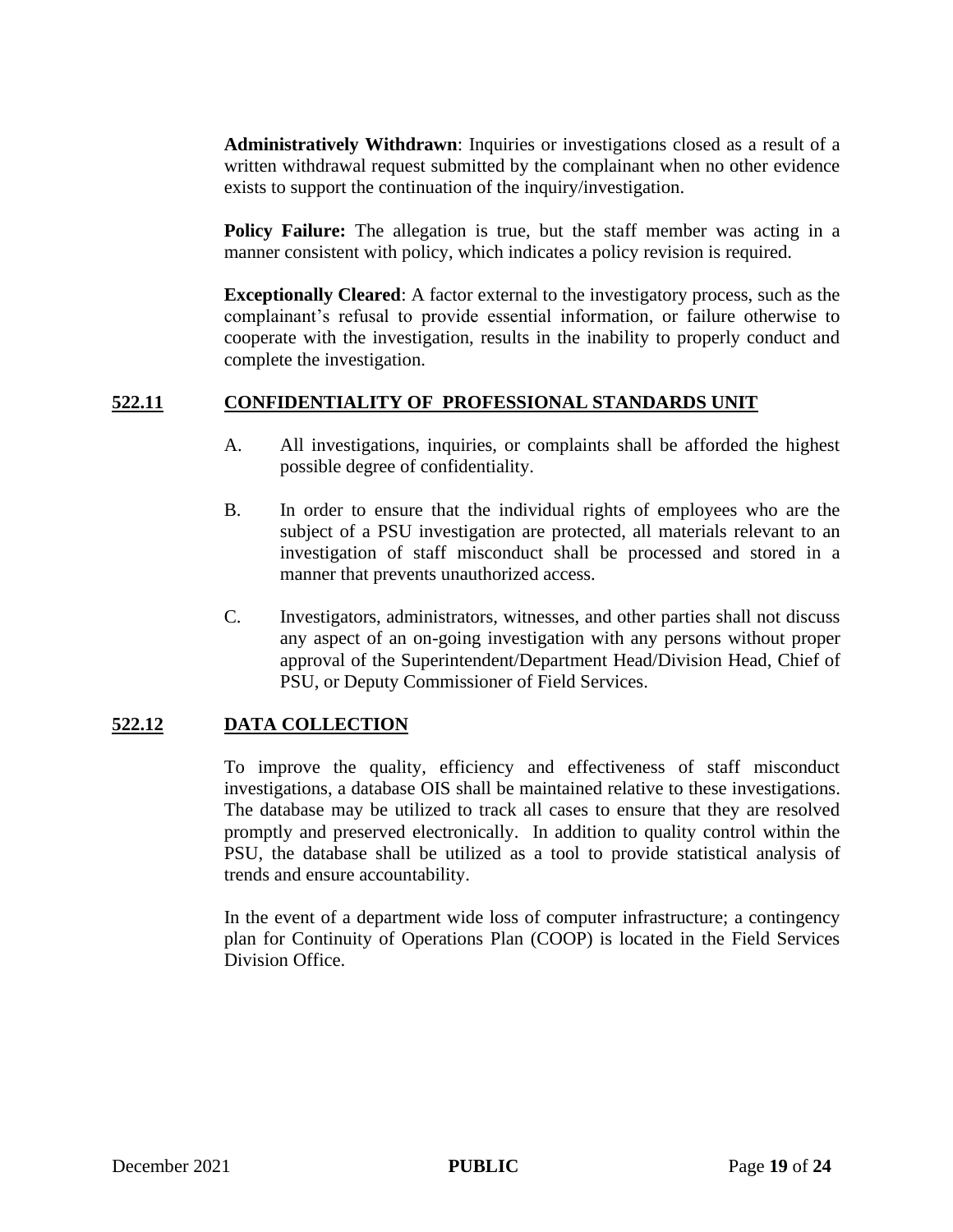**Administratively Withdrawn**: Inquiries or investigations closed as a result of a written withdrawal request submitted by the complainant when no other evidence exists to support the continuation of the inquiry/investigation.

**Policy Failure:** The allegation is true, but the staff member was acting in a manner consistent with policy, which indicates a policy revision is required.

**Exceptionally Cleared**: A factor external to the investigatory process, such as the complainant's refusal to provide essential information, or failure otherwise to cooperate with the investigation, results in the inability to properly conduct and complete the investigation.

### **522.11 CONFIDENTIALITY OF PROFESSIONAL STANDARDS UNIT**

- A. All investigations, inquiries, or complaints shall be afforded the highest possible degree of confidentiality.
- B. In order to ensure that the individual rights of employees who are the subject of a PSU investigation are protected, all materials relevant to an investigation of staff misconduct shall be processed and stored in a manner that prevents unauthorized access.
- C. Investigators, administrators, witnesses, and other parties shall not discuss any aspect of an on-going investigation with any persons without proper approval of the Superintendent/Department Head/Division Head, Chief of PSU, or Deputy Commissioner of Field Services.

## **522.12 DATA COLLECTION**

To improve the quality, efficiency and effectiveness of staff misconduct investigations, a database OIS shall be maintained relative to these investigations. The database may be utilized to track all cases to ensure that they are resolved promptly and preserved electronically. In addition to quality control within the PSU, the database shall be utilized as a tool to provide statistical analysis of trends and ensure accountability.

In the event of a department wide loss of computer infrastructure; a contingency plan for Continuity of Operations Plan (COOP) is located in the Field Services Division Office.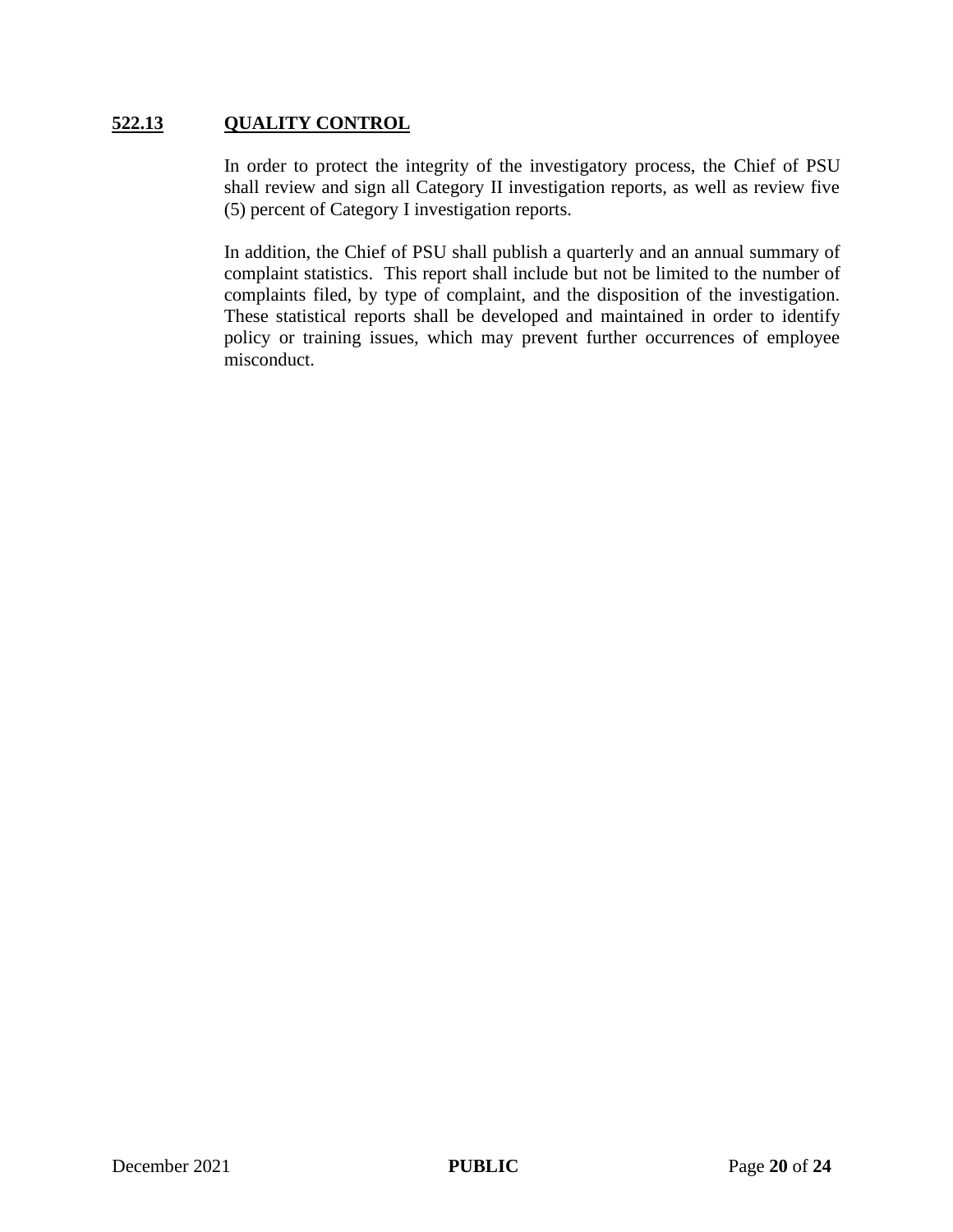### **522.13 QUALITY CONTROL**

In order to protect the integrity of the investigatory process, the Chief of PSU shall review and sign all Category II investigation reports, as well as review five (5) percent of Category I investigation reports.

In addition, the Chief of PSU shall publish a quarterly and an annual summary of complaint statistics. This report shall include but not be limited to the number of complaints filed, by type of complaint, and the disposition of the investigation. These statistical reports shall be developed and maintained in order to identify policy or training issues, which may prevent further occurrences of employee misconduct.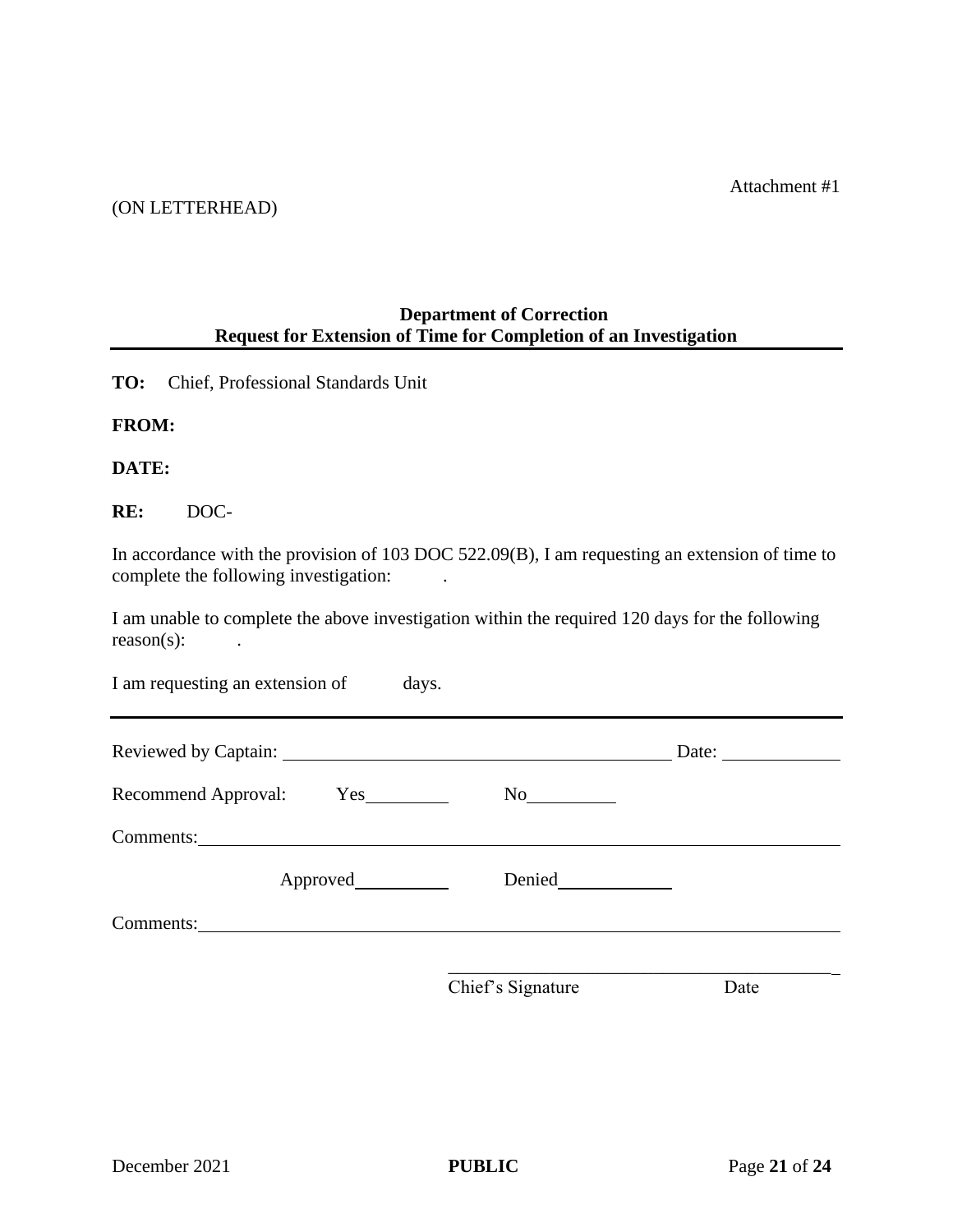Attachment #1

#### (ON LETTERHEAD)

## **Department of Correction Request for Extension of Time for Completion of an Investigation**

**TO:** Chief, Professional Standards Unit

**FROM:**

**DATE:**

**RE:** DOC-

In accordance with the provision of 103 DOC 522.09(B), I am requesting an extension of time to complete the following investigation:

I am unable to complete the above investigation within the required 120 days for the following reason(s): .

| I am requesting an extension of     | days.             |                                                        |
|-------------------------------------|-------------------|--------------------------------------------------------|
|                                     |                   | Date: $\frac{1}{\sqrt{1-\frac{1}{2}}\cdot\frac{1}{2}}$ |
| Recommend Approval: Yes             | No                |                                                        |
| Comments: Universe of the Comments: |                   |                                                        |
| Approved                            |                   |                                                        |
| Comments: <u>comments</u>           |                   |                                                        |
|                                     | Chief's Signature | Date                                                   |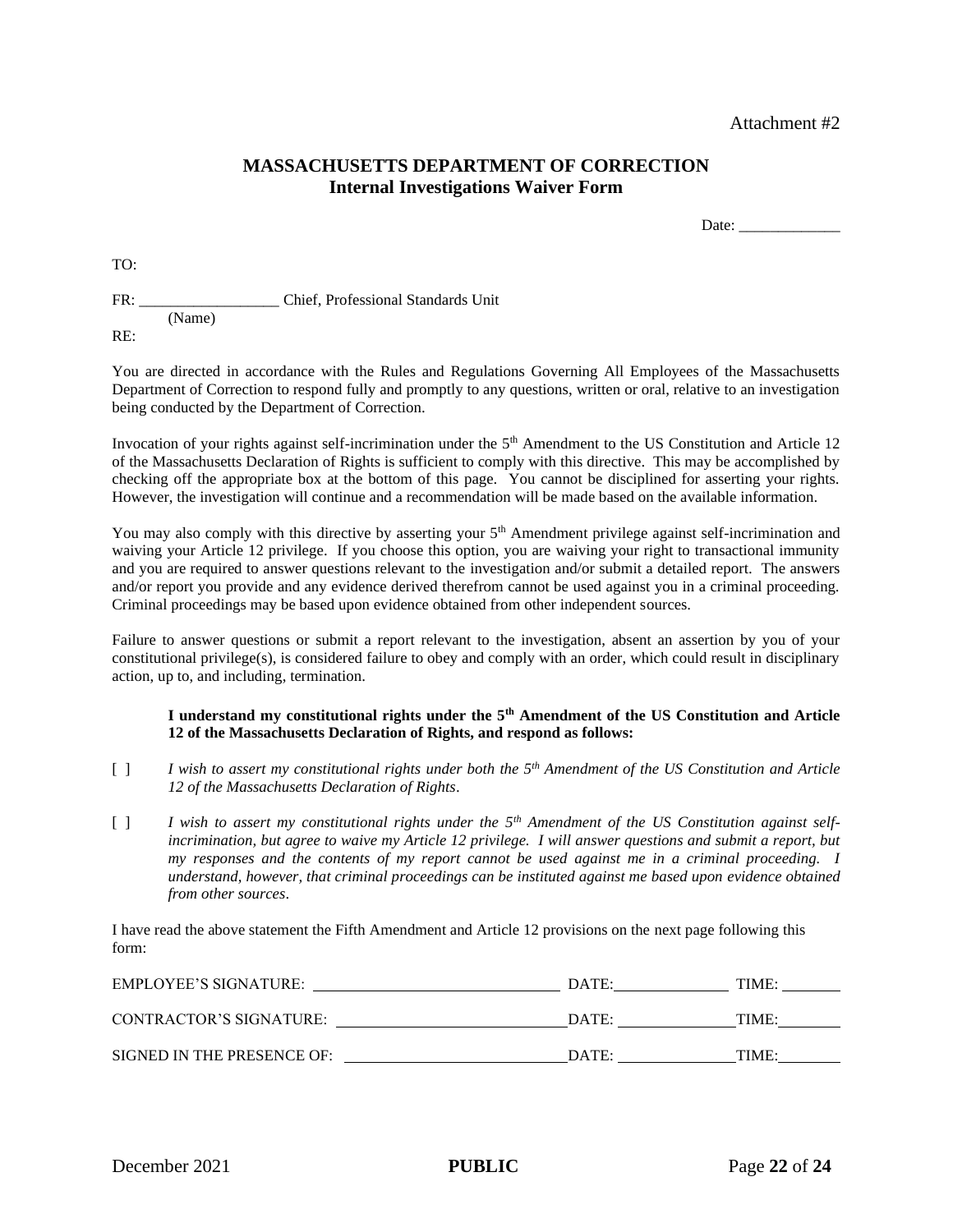Attachment #2

#### **MASSACHUSETTS DEPARTMENT OF CORRECTION Internal Investigations Waiver Form**

Date:

TO:

FR: Chief, Professional Standards Unit (Name) RE:

You are directed in accordance with the Rules and Regulations Governing All Employees of the Massachusetts Department of Correction to respond fully and promptly to any questions, written or oral, relative to an investigation being conducted by the Department of Correction.

Invocation of your rights against self-incrimination under the 5<sup>th</sup> Amendment to the US Constitution and Article 12 of the Massachusetts Declaration of Rights is sufficient to comply with this directive. This may be accomplished by checking off the appropriate box at the bottom of this page. You cannot be disciplined for asserting your rights. However, the investigation will continue and a recommendation will be made based on the available information.

You may also comply with this directive by asserting your  $5<sup>th</sup>$  Amendment privilege against self-incrimination and waiving your Article 12 privilege. If you choose this option, you are waiving your right to transactional immunity and you are required to answer questions relevant to the investigation and/or submit a detailed report. The answers and/or report you provide and any evidence derived therefrom cannot be used against you in a criminal proceeding. Criminal proceedings may be based upon evidence obtained from other independent sources.

Failure to answer questions or submit a report relevant to the investigation, absent an assertion by you of your constitutional privilege(s), is considered failure to obey and comply with an order, which could result in disciplinary action, up to, and including, termination.

#### **I understand my constitutional rights under the 5th Amendment of the US Constitution and Article 12 of the Massachusetts Declaration of Rights, and respond as follows:**

- [ ] *I wish to assert my constitutional rights under both the 5th Amendment of the US Constitution and Article 12 of the Massachusetts Declaration of Rights*.
- [ ] *I wish to assert my constitutional rights under the 5th Amendment of the US Constitution against selfincrimination, but agree to waive my Article 12 privilege. I will answer questions and submit a report, but my responses and the contents of my report cannot be used against me in a criminal proceeding. I understand, however, that criminal proceedings can be instituted against me based upon evidence obtained from other sources*.

I have read the above statement the Fifth Amendment and Article 12 provisions on the next page following this form:

| EMPLOYEE'S SIGNATURE:      | DATE: | TIME: |
|----------------------------|-------|-------|
| CONTRACTOR'S SIGNATURE:    | DATE: | TIME: |
| SIGNED IN THE PRESENCE OF: | DATE: | TIME: |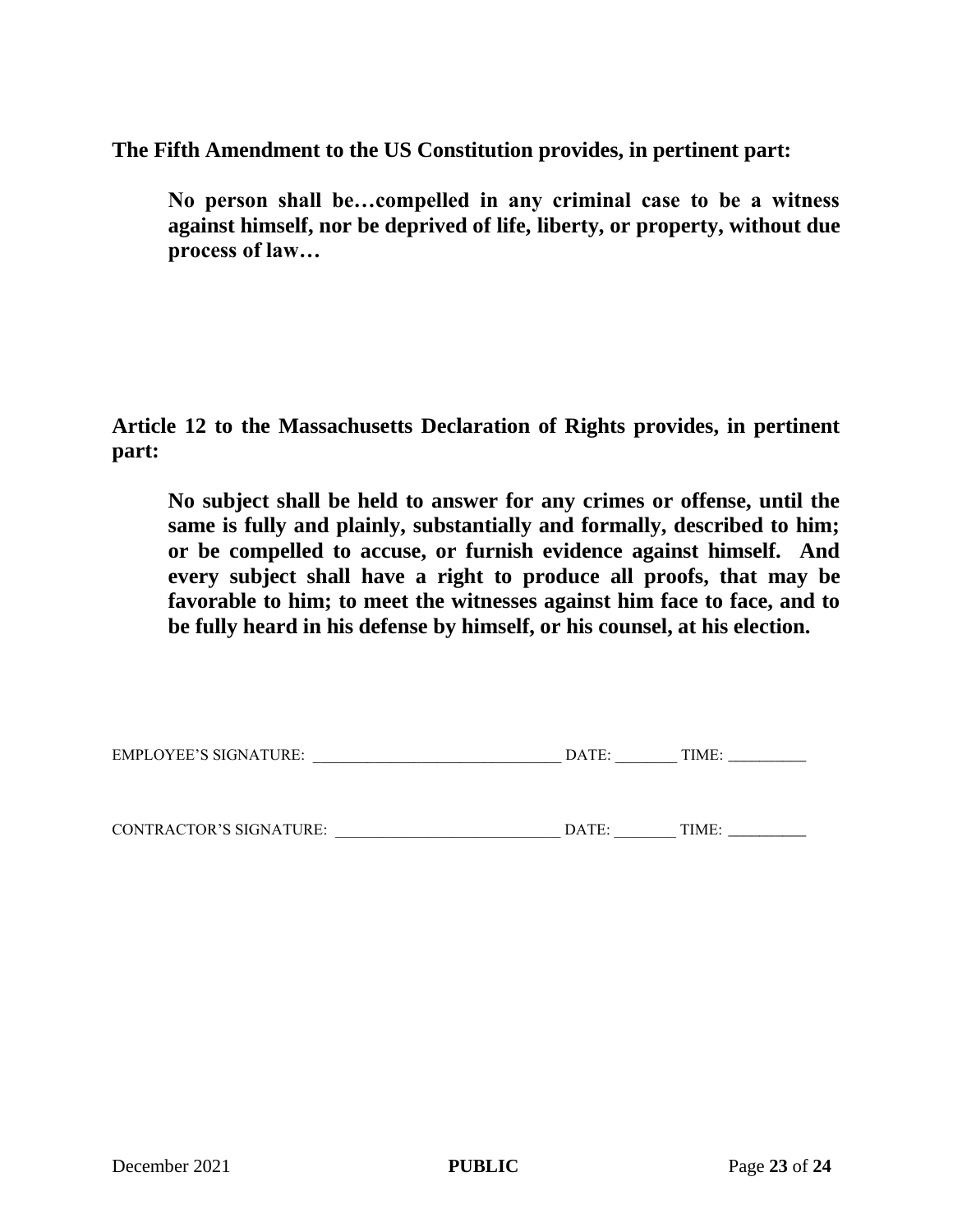**The Fifth Amendment to the US Constitution provides, in pertinent part:** 

**No person shall be…compelled in any criminal case to be a witness against himself, nor be deprived of life, liberty, or property, without due process of law…**

**Article 12 to the Massachusetts Declaration of Rights provides, in pertinent part:** 

**No subject shall be held to answer for any crimes or offense, until the same is fully and plainly, substantially and formally, described to him; or be compelled to accuse, or furnish evidence against himself. And every subject shall have a right to produce all proofs, that may be favorable to him; to meet the witnesses against him face to face, and to be fully heard in his defense by himself, or his counsel, at his election.**

CONTRACTOR'S SIGNATURE: \_\_\_\_\_\_\_\_\_\_\_\_\_\_\_\_\_\_\_\_\_\_\_\_\_\_\_\_\_ DATE: \_\_\_\_\_\_\_\_ TIME: \_\_\_\_\_\_\_\_\_\_